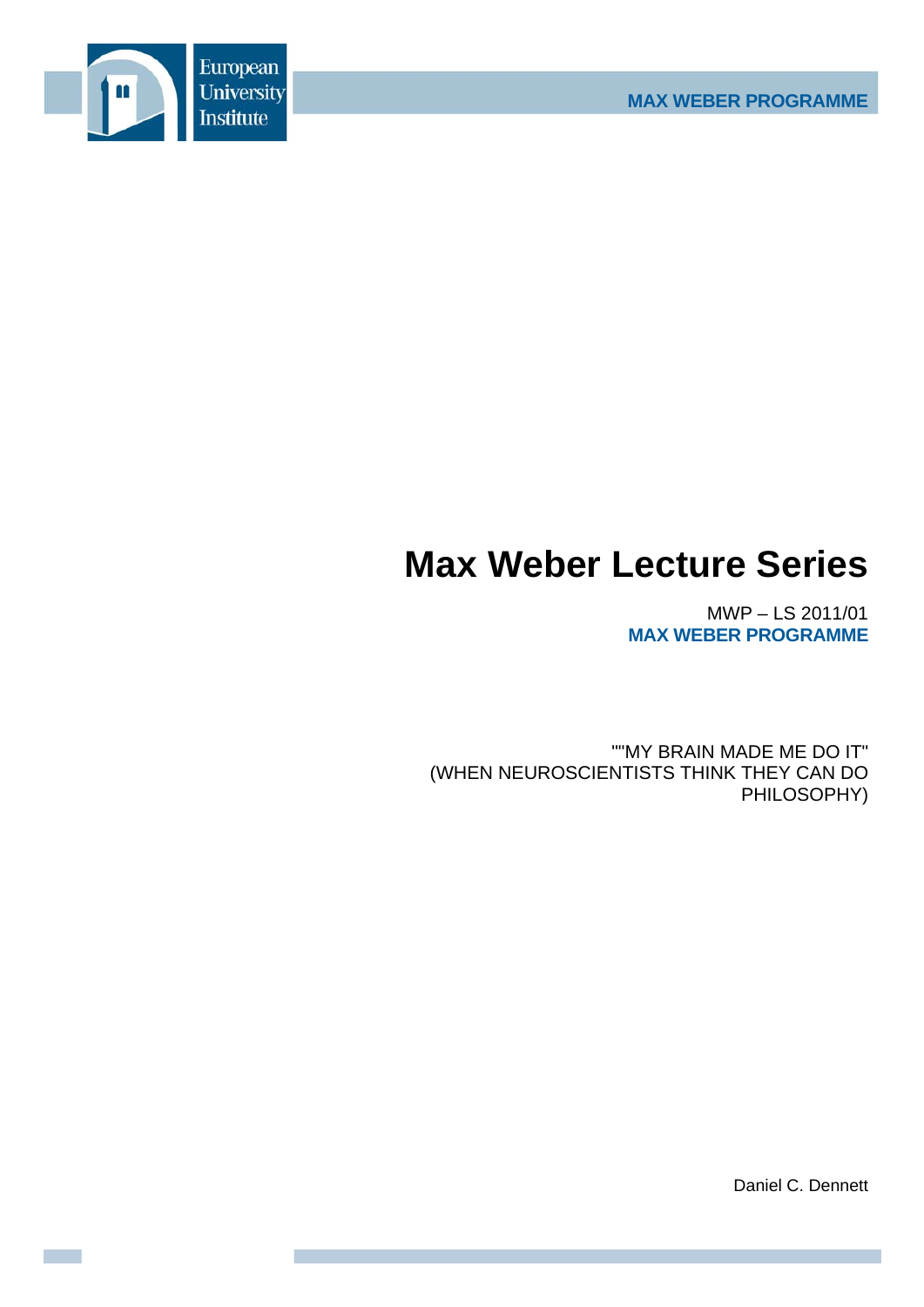

# **Max Weber Lecture Series**

MWP – LS 2011/01 **MAX WEBER PROGRAMME**

""MY BRAIN MADE ME DO IT" (WHEN NEUROSCIENTISTS THINK THEY CAN DO PHILOSOPHY)

Daniel C. Dennett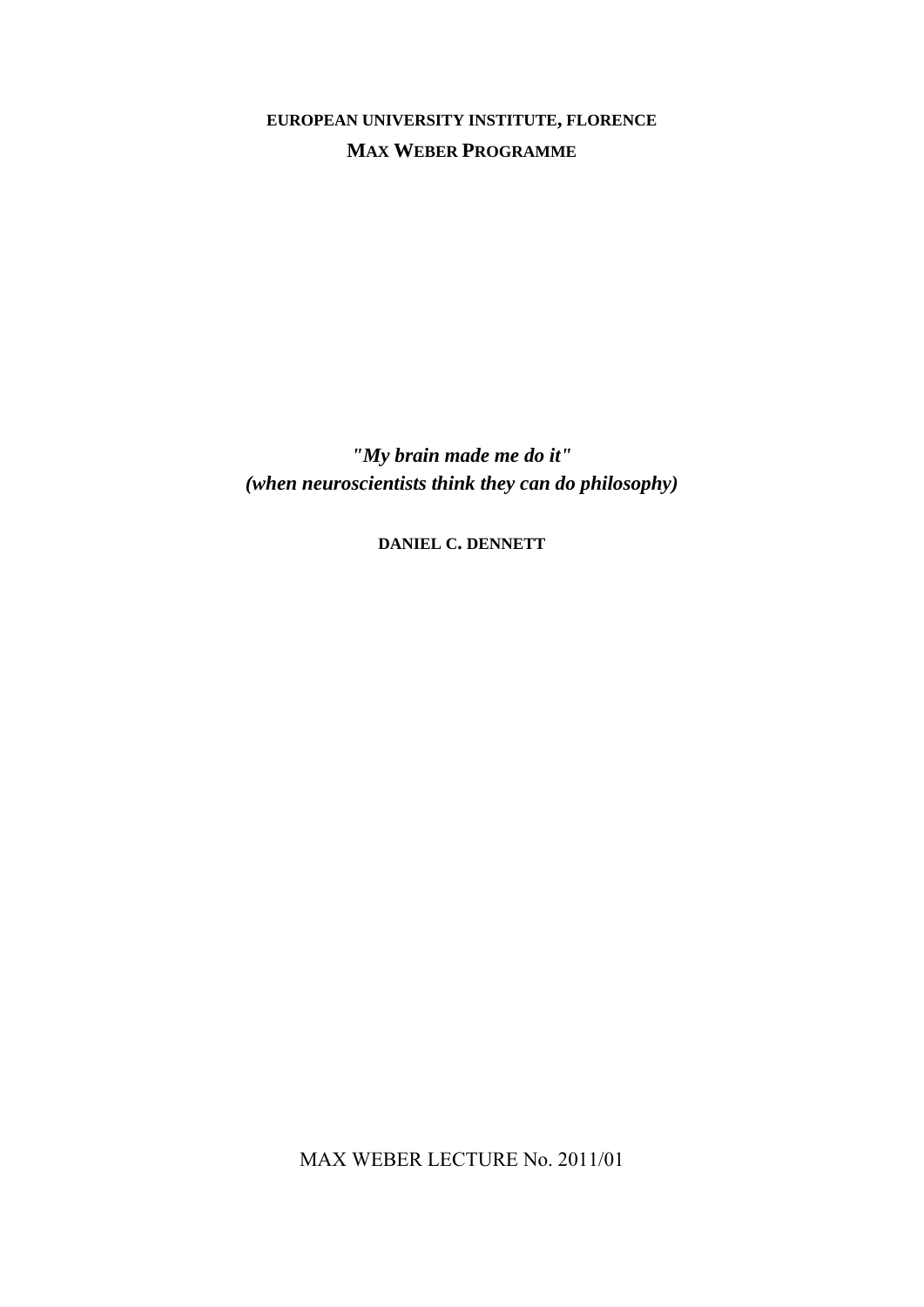**EUROPEAN UNIVERSITY INSTITUTE, FLORENCE MAX WEBER PROGRAMME**

*"My brain made me do it" (when neuroscientists think they can do philosophy)* 

**DANIEL C. DENNETT**

MAX WEBER LECTURE No. 2011/01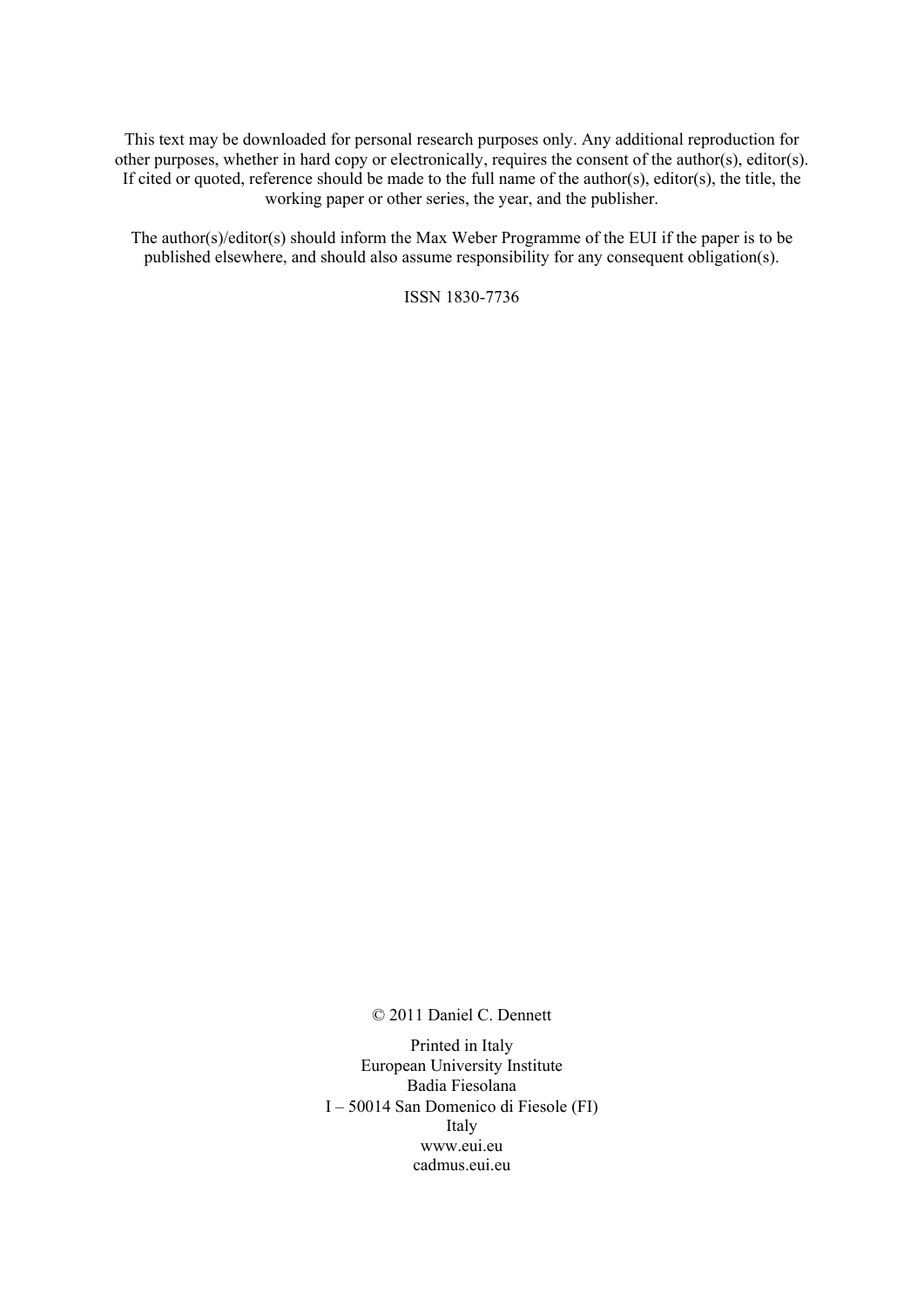This text may be downloaded for personal research purposes only. Any additional reproduction for other purposes, whether in hard copy or electronically, requires the consent of the author(s), editor(s). If cited or quoted, reference should be made to the full name of the author(s), editor(s), the title, the working paper or other series, the year, and the publisher.

The author(s)/editor(s) should inform the Max Weber Programme of the EUI if the paper is to be published elsewhere, and should also assume responsibility for any consequent obligation(s).

ISSN 1830-7736

© 2011 Daniel C. Dennett

Printed in Italy European University Institute Badia Fiesolana I – 50014 San Domenico di Fiesole (FI) Italy www.eui.eu cadmus.eui.eu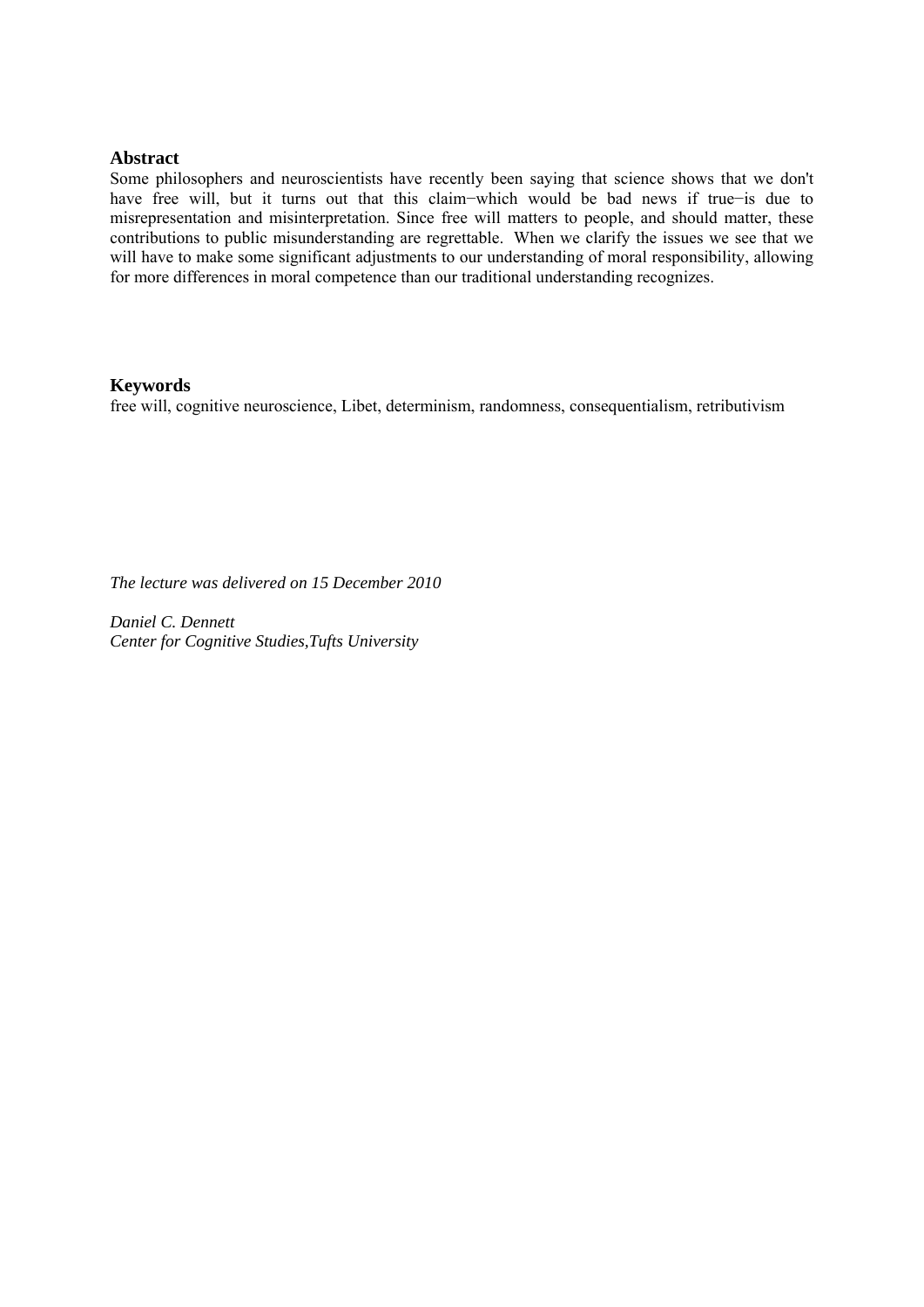## **Abstract**

Some philosophers and neuroscientists have recently been saying that science shows that we don't have free will, but it turns out that this claim−which would be bad news if true−is due to misrepresentation and misinterpretation. Since free will matters to people, and should matter, these contributions to public misunderstanding are regrettable. When we clarify the issues we see that we will have to make some significant adjustments to our understanding of moral responsibility, allowing for more differences in moral competence than our traditional understanding recognizes.

## **Keywords**

free will, cognitive neuroscience, Libet, determinism, randomness, consequentialism, retributivism

*The lecture was delivered on 15 December 2010* 

*Daniel C. Dennett Center for Cognitive Studies,Tufts University*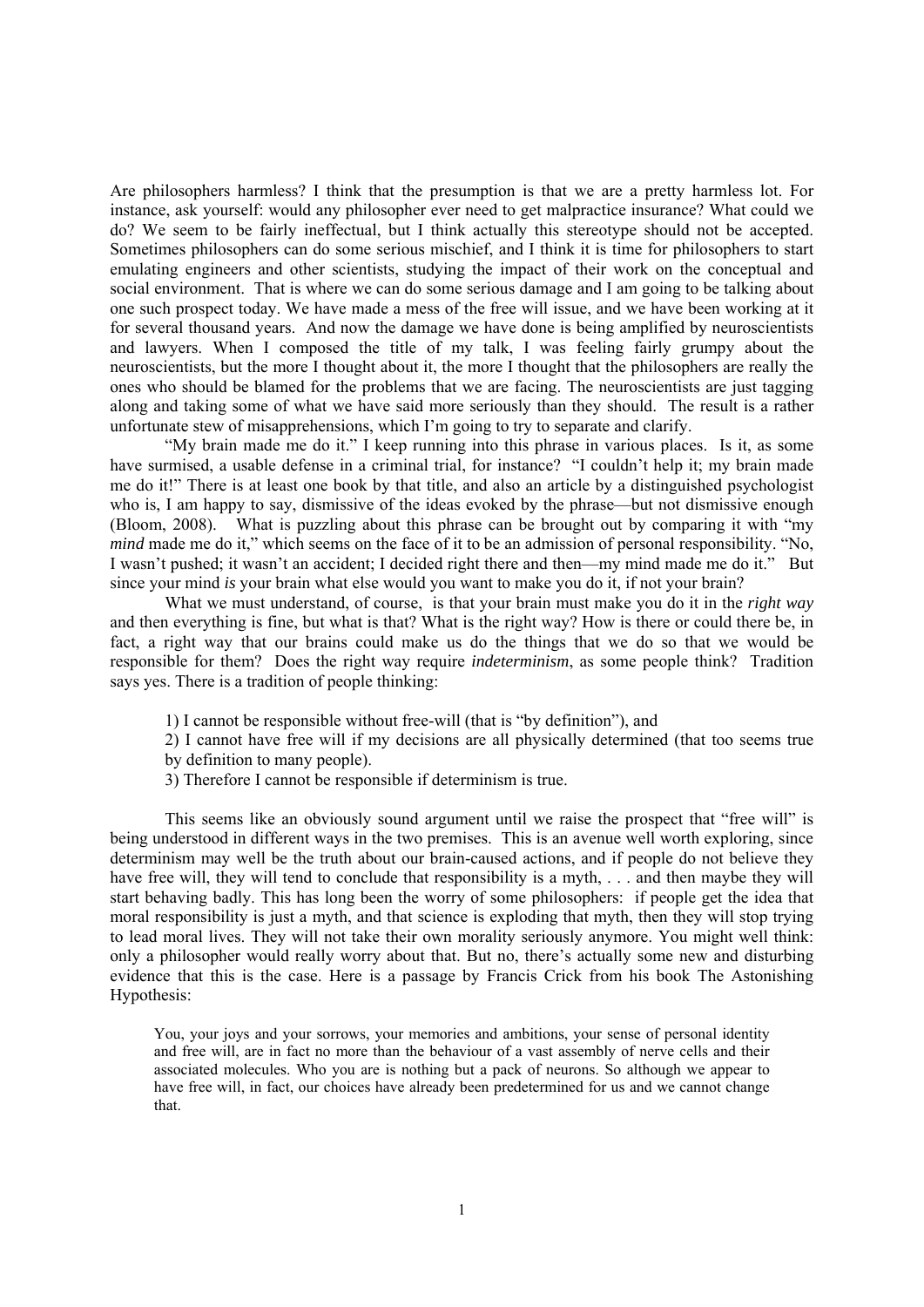Are philosophers harmless? I think that the presumption is that we are a pretty harmless lot. For instance, ask yourself: would any philosopher ever need to get malpractice insurance? What could we do? We seem to be fairly ineffectual, but I think actually this stereotype should not be accepted. Sometimes philosophers can do some serious mischief, and I think it is time for philosophers to start emulating engineers and other scientists, studying the impact of their work on the conceptual and social environment. That is where we can do some serious damage and I am going to be talking about one such prospect today. We have made a mess of the free will issue, and we have been working at it for several thousand years. And now the damage we have done is being amplified by neuroscientists and lawyers. When I composed the title of my talk, I was feeling fairly grumpy about the neuroscientists, but the more I thought about it, the more I thought that the philosophers are really the ones who should be blamed for the problems that we are facing. The neuroscientists are just tagging along and taking some of what we have said more seriously than they should. The result is a rather unfortunate stew of misapprehensions, which I'm going to try to separate and clarify.

 "My brain made me do it." I keep running into this phrase in various places. Is it, as some have surmised, a usable defense in a criminal trial, for instance? "I couldn't help it; my brain made me do it!" There is at least one book by that title, and also an article by a distinguished psychologist who is, I am happy to say, dismissive of the ideas evoked by the phrase—but not dismissive enough (Bloom, 2008). What is puzzling about this phrase can be brought out by comparing it with "my *mind* made me do it," which seems on the face of it to be an admission of personal responsibility. "No, I wasn't pushed; it wasn't an accident; I decided right there and then—my mind made me do it." But since your mind *is* your brain what else would you want to make you do it, if not your brain?

 What we must understand, of course, is that your brain must make you do it in the *right way* and then everything is fine, but what is that? What is the right way? How is there or could there be, in fact, a right way that our brains could make us do the things that we do so that we would be responsible for them? Does the right way require *indeterminism*, as some people think? Tradition says yes. There is a tradition of people thinking:

- 1) I cannot be responsible without free-will (that is "by definition"), and
- 2) I cannot have free will if my decisions are all physically determined (that too seems true
- by definition to many people).
- 3) Therefore I cannot be responsible if determinism is true.

 This seems like an obviously sound argument until we raise the prospect that "free will" is being understood in different ways in the two premises. This is an avenue well worth exploring, since determinism may well be the truth about our brain-caused actions, and if people do not believe they have free will, they will tend to conclude that responsibility is a myth, ... and then maybe they will start behaving badly. This has long been the worry of some philosophers: if people get the idea that moral responsibility is just a myth, and that science is exploding that myth, then they will stop trying to lead moral lives. They will not take their own morality seriously anymore. You might well think: only a philosopher would really worry about that. But no, there's actually some new and disturbing evidence that this is the case. Here is a passage by Francis Crick from his book The Astonishing Hypothesis:

You, your joys and your sorrows, your memories and ambitions, your sense of personal identity and free will, are in fact no more than the behaviour of a vast assembly of nerve cells and their associated molecules. Who you are is nothing but a pack of neurons. So although we appear to have free will, in fact, our choices have already been predetermined for us and we cannot change that.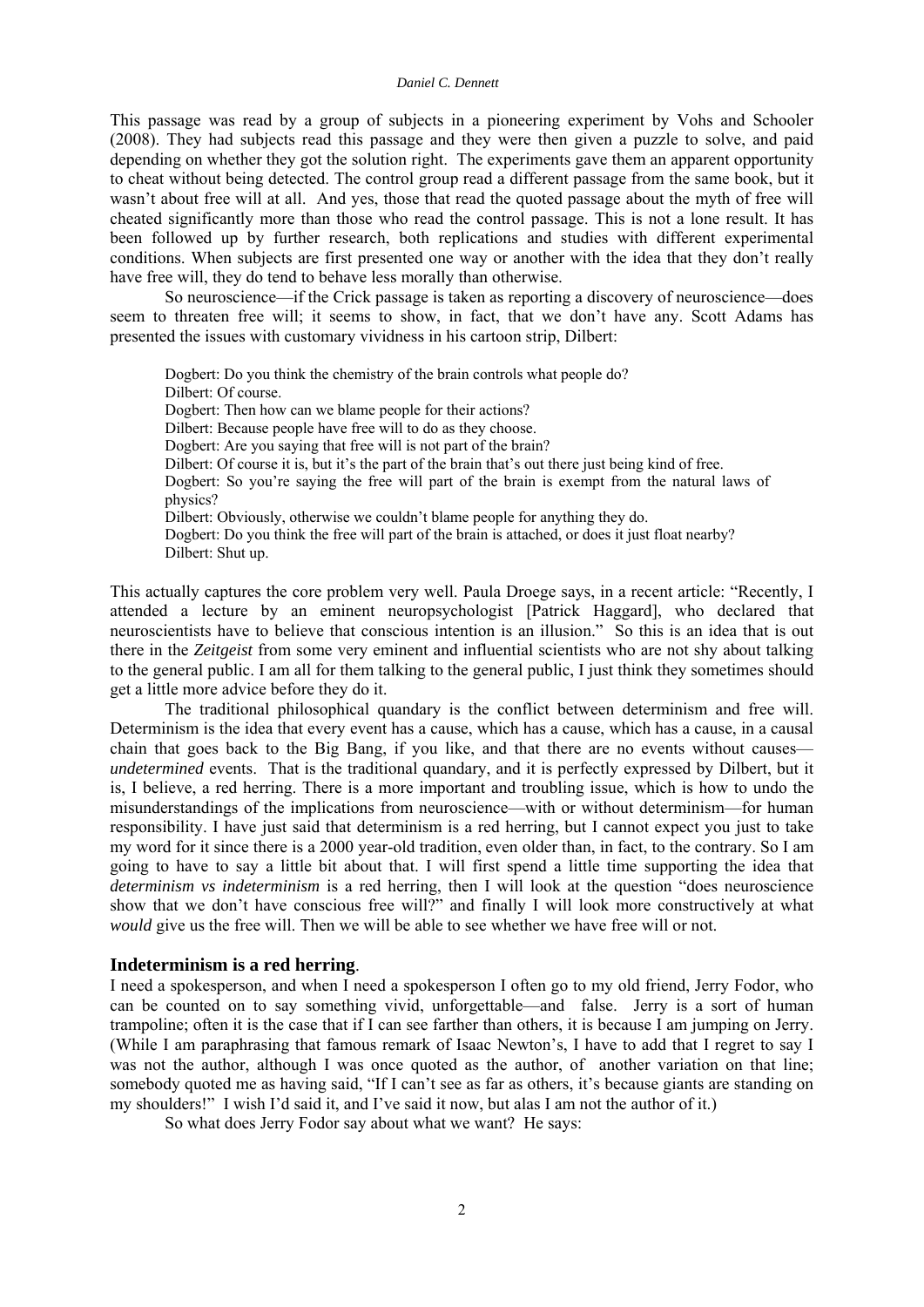This passage was read by a group of subjects in a pioneering experiment by Vohs and Schooler (2008). They had subjects read this passage and they were then given a puzzle to solve, and paid depending on whether they got the solution right. The experiments gave them an apparent opportunity to cheat without being detected. The control group read a different passage from the same book, but it wasn't about free will at all. And yes, those that read the quoted passage about the myth of free will cheated significantly more than those who read the control passage. This is not a lone result. It has been followed up by further research, both replications and studies with different experimental conditions. When subjects are first presented one way or another with the idea that they don't really have free will, they do tend to behave less morally than otherwise.

 So neuroscience—if the Crick passage is taken as reporting a discovery of neuroscience—does seem to threaten free will; it seems to show, in fact, that we don't have any. Scott Adams has presented the issues with customary vividness in his cartoon strip, Dilbert:

Dogbert: Do you think the chemistry of the brain controls what people do? Dilbert: Of course. Dogbert: Then how can we blame people for their actions? Dilbert: Because people have free will to do as they choose. Dogbert: Are you saying that free will is not part of the brain? Dilbert: Of course it is, but it's the part of the brain that's out there just being kind of free. Dogbert: So you're saying the free will part of the brain is exempt from the natural laws of physics? Dilbert: Obviously, otherwise we couldn't blame people for anything they do. Dogbert: Do you think the free will part of the brain is attached, or does it just float nearby? Dilbert: Shut up.

This actually captures the core problem very well. Paula Droege says, in a recent article: "Recently, I attended a lecture by an eminent neuropsychologist [Patrick Haggard], who declared that neuroscientists have to believe that conscious intention is an illusion." So this is an idea that is out there in the *Zeitgeist* from some very eminent and influential scientists who are not shy about talking to the general public. I am all for them talking to the general public, I just think they sometimes should get a little more advice before they do it.

 The traditional philosophical quandary is the conflict between determinism and free will. Determinism is the idea that every event has a cause, which has a cause, which has a cause, in a causal chain that goes back to the Big Bang, if you like, and that there are no events without causes *undetermined* events. That is the traditional quandary, and it is perfectly expressed by Dilbert, but it is, I believe, a red herring. There is a more important and troubling issue, which is how to undo the misunderstandings of the implications from neuroscience—with or without determinism—for human responsibility. I have just said that determinism is a red herring, but I cannot expect you just to take my word for it since there is a 2000 year-old tradition, even older than, in fact, to the contrary. So I am going to have to say a little bit about that. I will first spend a little time supporting the idea that *determinism vs indeterminism* is a red herring, then I will look at the question "does neuroscience show that we don't have conscious free will?" and finally I will look more constructively at what *would* give us the free will. Then we will be able to see whether we have free will or not.

## **Indeterminism is a red herring**.

I need a spokesperson, and when I need a spokesperson I often go to my old friend, Jerry Fodor, who can be counted on to say something vivid, unforgettable—and false. Jerry is a sort of human trampoline; often it is the case that if I can see farther than others, it is because I am jumping on Jerry. (While I am paraphrasing that famous remark of Isaac Newton's, I have to add that I regret to say I was not the author, although I was once quoted as the author, of another variation on that line; somebody quoted me as having said, "If I can't see as far as others, it's because giants are standing on my shoulders!" I wish I'd said it, and I've said it now, but alas I am not the author of it.)

So what does Jerry Fodor say about what we want? He says: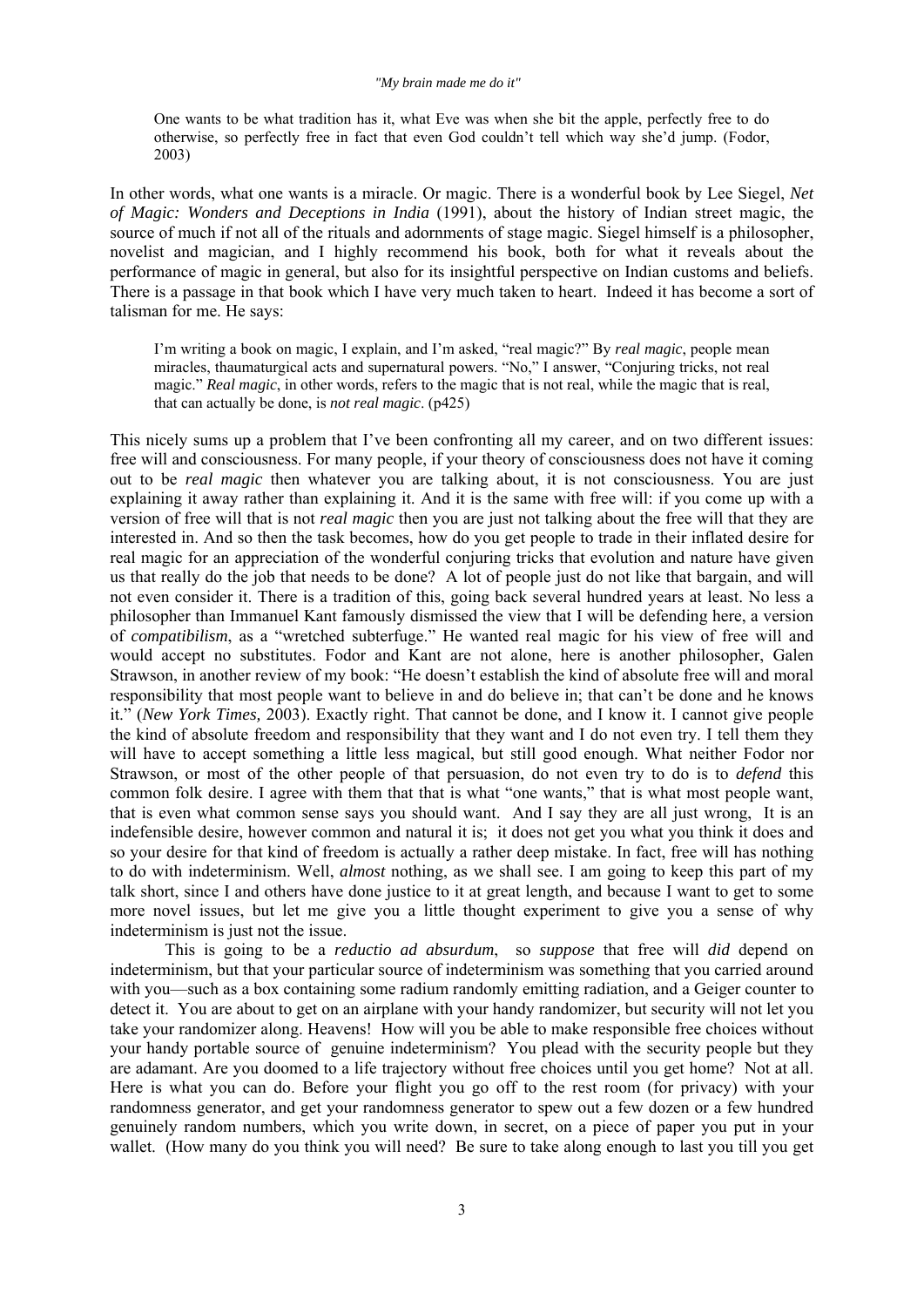One wants to be what tradition has it, what Eve was when she bit the apple, perfectly free to do otherwise, so perfectly free in fact that even God couldn't tell which way she'd jump. (Fodor, 2003)

In other words, what one wants is a miracle. Or magic. There is a wonderful book by Lee Siegel, *Net of Magic: Wonders and Deceptions in India* (1991), about the history of Indian street magic, the source of much if not all of the rituals and adornments of stage magic. Siegel himself is a philosopher, novelist and magician, and I highly recommend his book, both for what it reveals about the performance of magic in general, but also for its insightful perspective on Indian customs and beliefs. There is a passage in that book which I have very much taken to heart. Indeed it has become a sort of talisman for me. He says:

I'm writing a book on magic, I explain, and I'm asked, "real magic?" By *real magic*, people mean miracles, thaumaturgical acts and supernatural powers. "No," I answer, "Conjuring tricks, not real magic." *Real magic*, in other words, refers to the magic that is not real, while the magic that is real, that can actually be done, is *not real magic*. (p425)

This nicely sums up a problem that I've been confronting all my career, and on two different issues: free will and consciousness. For many people, if your theory of consciousness does not have it coming out to be *real magic* then whatever you are talking about, it is not consciousness. You are just explaining it away rather than explaining it. And it is the same with free will: if you come up with a version of free will that is not *real magic* then you are just not talking about the free will that they are interested in. And so then the task becomes, how do you get people to trade in their inflated desire for real magic for an appreciation of the wonderful conjuring tricks that evolution and nature have given us that really do the job that needs to be done? A lot of people just do not like that bargain, and will not even consider it. There is a tradition of this, going back several hundred years at least. No less a philosopher than Immanuel Kant famously dismissed the view that I will be defending here, a version of *compatibilism*, as a "wretched subterfuge." He wanted real magic for his view of free will and would accept no substitutes. Fodor and Kant are not alone, here is another philosopher, Galen Strawson, in another review of my book: "He doesn't establish the kind of absolute free will and moral responsibility that most people want to believe in and do believe in; that can't be done and he knows it." (*New York Times,* 2003). Exactly right. That cannot be done, and I know it. I cannot give people the kind of absolute freedom and responsibility that they want and I do not even try. I tell them they will have to accept something a little less magical, but still good enough. What neither Fodor nor Strawson, or most of the other people of that persuasion, do not even try to do is to *defend* this common folk desire. I agree with them that that is what "one wants," that is what most people want, that is even what common sense says you should want. And I say they are all just wrong, It is an indefensible desire, however common and natural it is; it does not get you what you think it does and so your desire for that kind of freedom is actually a rather deep mistake. In fact, free will has nothing to do with indeterminism. Well, *almost* nothing, as we shall see. I am going to keep this part of my talk short, since I and others have done justice to it at great length, and because I want to get to some more novel issues, but let me give you a little thought experiment to give you a sense of why indeterminism is just not the issue.

 This is going to be a *reductio ad absurdum*, so *suppose* that free will *did* depend on indeterminism, but that your particular source of indeterminism was something that you carried around with you—such as a box containing some radium randomly emitting radiation, and a Geiger counter to detect it. You are about to get on an airplane with your handy randomizer, but security will not let you take your randomizer along. Heavens! How will you be able to make responsible free choices without your handy portable source of genuine indeterminism? You plead with the security people but they are adamant. Are you doomed to a life trajectory without free choices until you get home? Not at all. Here is what you can do. Before your flight you go off to the rest room (for privacy) with your randomness generator, and get your randomness generator to spew out a few dozen or a few hundred genuinely random numbers, which you write down, in secret, on a piece of paper you put in your wallet. (How many do you think you will need? Be sure to take along enough to last you till you get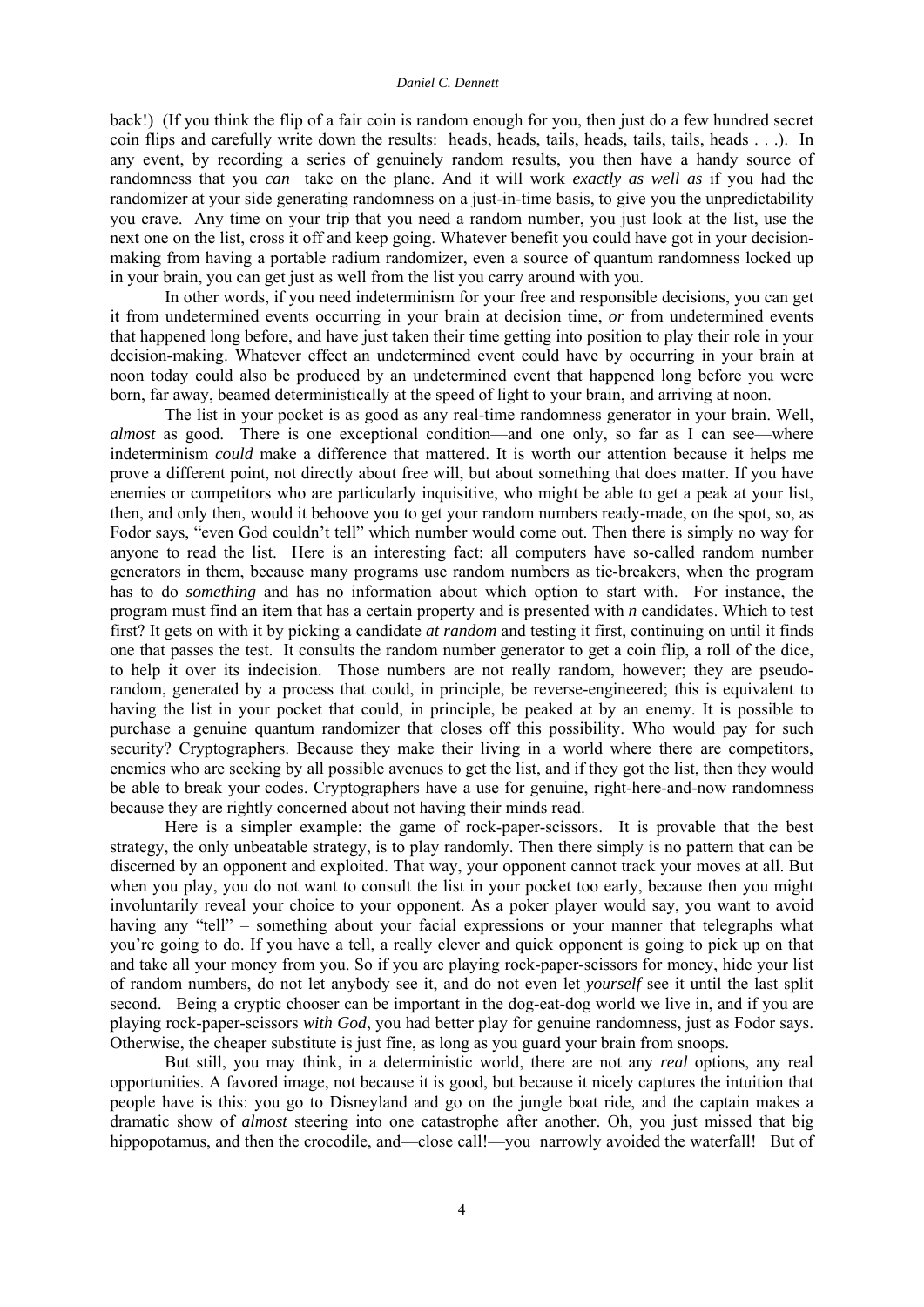back!) (If you think the flip of a fair coin is random enough for you, then just do a few hundred secret coin flips and carefully write down the results: heads, heads, tails, heads, tails, tails, heads . . .). In any event, by recording a series of genuinely random results, you then have a handy source of randomness that you *can* take on the plane. And it will work *exactly as well as* if you had the randomizer at your side generating randomness on a just-in-time basis, to give you the unpredictability you crave. Any time on your trip that you need a random number, you just look at the list, use the next one on the list, cross it off and keep going. Whatever benefit you could have got in your decisionmaking from having a portable radium randomizer, even a source of quantum randomness locked up in your brain, you can get just as well from the list you carry around with you.

 In other words, if you need indeterminism for your free and responsible decisions, you can get it from undetermined events occurring in your brain at decision time, *or* from undetermined events that happened long before, and have just taken their time getting into position to play their role in your decision-making. Whatever effect an undetermined event could have by occurring in your brain at noon today could also be produced by an undetermined event that happened long before you were born, far away, beamed deterministically at the speed of light to your brain, and arriving at noon.

 The list in your pocket is as good as any real-time randomness generator in your brain. Well, *almost* as good. There is one exceptional condition—and one only, so far as I can see—where indeterminism *could* make a difference that mattered. It is worth our attention because it helps me prove a different point, not directly about free will, but about something that does matter. If you have enemies or competitors who are particularly inquisitive, who might be able to get a peak at your list, then, and only then, would it behoove you to get your random numbers ready-made, on the spot, so, as Fodor says, "even God couldn't tell" which number would come out. Then there is simply no way for anyone to read the list. Here is an interesting fact: all computers have so-called random number generators in them, because many programs use random numbers as tie-breakers, when the program has to do *something* and has no information about which option to start with. For instance, the program must find an item that has a certain property and is presented with *n* candidates. Which to test first? It gets on with it by picking a candidate *at random* and testing it first, continuing on until it finds one that passes the test. It consults the random number generator to get a coin flip, a roll of the dice, to help it over its indecision. Those numbers are not really random, however; they are pseudorandom, generated by a process that could, in principle, be reverse-engineered; this is equivalent to having the list in your pocket that could, in principle, be peaked at by an enemy. It is possible to purchase a genuine quantum randomizer that closes off this possibility. Who would pay for such security? Cryptographers. Because they make their living in a world where there are competitors, enemies who are seeking by all possible avenues to get the list, and if they got the list, then they would be able to break your codes. Cryptographers have a use for genuine, right-here-and-now randomness because they are rightly concerned about not having their minds read.

 Here is a simpler example: the game of rock-paper-scissors. It is provable that the best strategy, the only unbeatable strategy, is to play randomly. Then there simply is no pattern that can be discerned by an opponent and exploited. That way, your opponent cannot track your moves at all. But when you play, you do not want to consult the list in your pocket too early, because then you might involuntarily reveal your choice to your opponent. As a poker player would say, you want to avoid having any "tell" – something about your facial expressions or your manner that telegraphs what you're going to do. If you have a tell, a really clever and quick opponent is going to pick up on that and take all your money from you. So if you are playing rock-paper-scissors for money, hide your list of random numbers, do not let anybody see it, and do not even let *yourself* see it until the last split second. Being a cryptic chooser can be important in the dog-eat-dog world we live in, and if you are playing rock-paper-scissors *with God*, you had better play for genuine randomness, just as Fodor says. Otherwise, the cheaper substitute is just fine, as long as you guard your brain from snoops.

 But still, you may think, in a deterministic world, there are not any *real* options, any real opportunities. A favored image, not because it is good, but because it nicely captures the intuition that people have is this: you go to Disneyland and go on the jungle boat ride, and the captain makes a dramatic show of *almost* steering into one catastrophe after another. Oh, you just missed that big hippopotamus, and then the crocodile, and—close call!—you narrowly avoided the waterfall! But of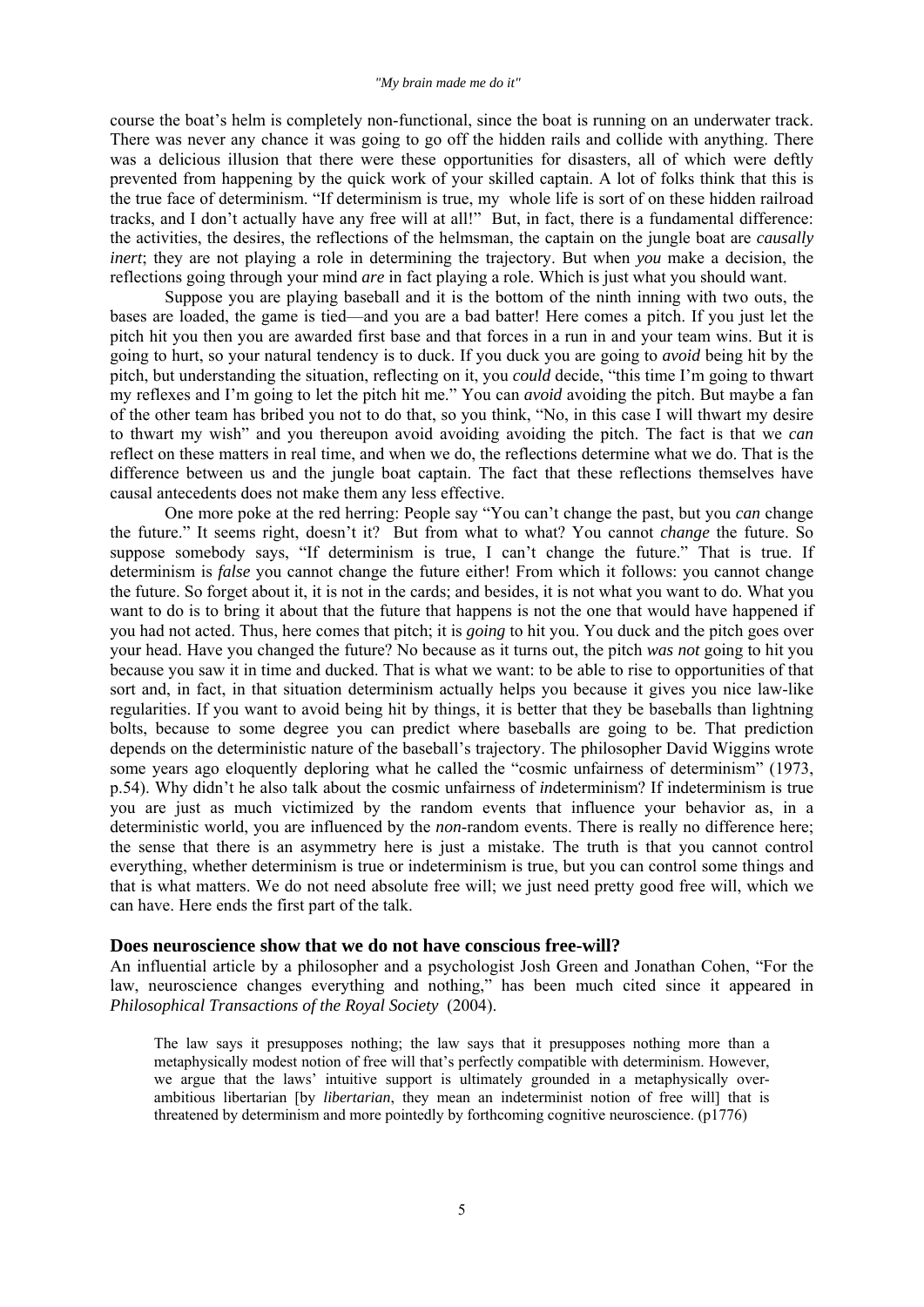#### *"My brain made me do it"*

course the boat's helm is completely non-functional, since the boat is running on an underwater track. There was never any chance it was going to go off the hidden rails and collide with anything. There was a delicious illusion that there were these opportunities for disasters, all of which were deftly prevented from happening by the quick work of your skilled captain. A lot of folks think that this is the true face of determinism. "If determinism is true, my whole life is sort of on these hidden railroad tracks, and I don't actually have any free will at all!" But, in fact, there is a fundamental difference: the activities, the desires, the reflections of the helmsman, the captain on the jungle boat are *causally inert*; they are not playing a role in determining the trajectory. But when *you* make a decision, the reflections going through your mind *are* in fact playing a role. Which is just what you should want.

 Suppose you are playing baseball and it is the bottom of the ninth inning with two outs, the bases are loaded, the game is tied—and you are a bad batter! Here comes a pitch. If you just let the pitch hit you then you are awarded first base and that forces in a run in and your team wins. But it is going to hurt, so your natural tendency is to duck. If you duck you are going to *avoid* being hit by the pitch, but understanding the situation, reflecting on it, you *could* decide, "this time I'm going to thwart my reflexes and I'm going to let the pitch hit me." You can *avoid* avoiding the pitch. But maybe a fan of the other team has bribed you not to do that, so you think, "No, in this case I will thwart my desire to thwart my wish" and you thereupon avoid avoiding avoiding the pitch. The fact is that we *can*  reflect on these matters in real time, and when we do, the reflections determine what we do. That is the difference between us and the jungle boat captain. The fact that these reflections themselves have causal antecedents does not make them any less effective.

 One more poke at the red herring: People say "You can't change the past, but you *can* change the future." It seems right, doesn't it? But from what to what? You cannot *change* the future. So suppose somebody says, "If determinism is true, I can't change the future." That is true. If determinism is *false* you cannot change the future either! From which it follows: you cannot change the future. So forget about it, it is not in the cards; and besides, it is not what you want to do. What you want to do is to bring it about that the future that happens is not the one that would have happened if you had not acted. Thus, here comes that pitch; it is *going* to hit you. You duck and the pitch goes over your head. Have you changed the future? No because as it turns out, the pitch *was not* going to hit you because you saw it in time and ducked. That is what we want: to be able to rise to opportunities of that sort and, in fact, in that situation determinism actually helps you because it gives you nice law-like regularities. If you want to avoid being hit by things, it is better that they be baseballs than lightning bolts, because to some degree you can predict where baseballs are going to be. That prediction depends on the deterministic nature of the baseball's trajectory. The philosopher David Wiggins wrote some years ago eloquently deploring what he called the "cosmic unfairness of determinism" (1973, p.54). Why didn't he also talk about the cosmic unfairness of *in*determinism? If indeterminism is true you are just as much victimized by the random events that influence your behavior as, in a deterministic world, you are influenced by the *non*-random events. There is really no difference here; the sense that there is an asymmetry here is just a mistake. The truth is that you cannot control everything, whether determinism is true or indeterminism is true, but you can control some things and that is what matters. We do not need absolute free will; we just need pretty good free will, which we can have. Here ends the first part of the talk.

## **Does neuroscience show that we do not have conscious free-will?**

An influential article by a philosopher and a psychologist Josh Green and Jonathan Cohen, "For the law, neuroscience changes everything and nothing," has been much cited since it appeared in *Philosophical Transactions of the Royal Society* (2004).

The law says it presupposes nothing; the law says that it presupposes nothing more than a metaphysically modest notion of free will that's perfectly compatible with determinism. However, we argue that the laws' intuitive support is ultimately grounded in a metaphysically overambitious libertarian [by *libertarian*, they mean an indeterminist notion of free will] that is threatened by determinism and more pointedly by forthcoming cognitive neuroscience. (p1776)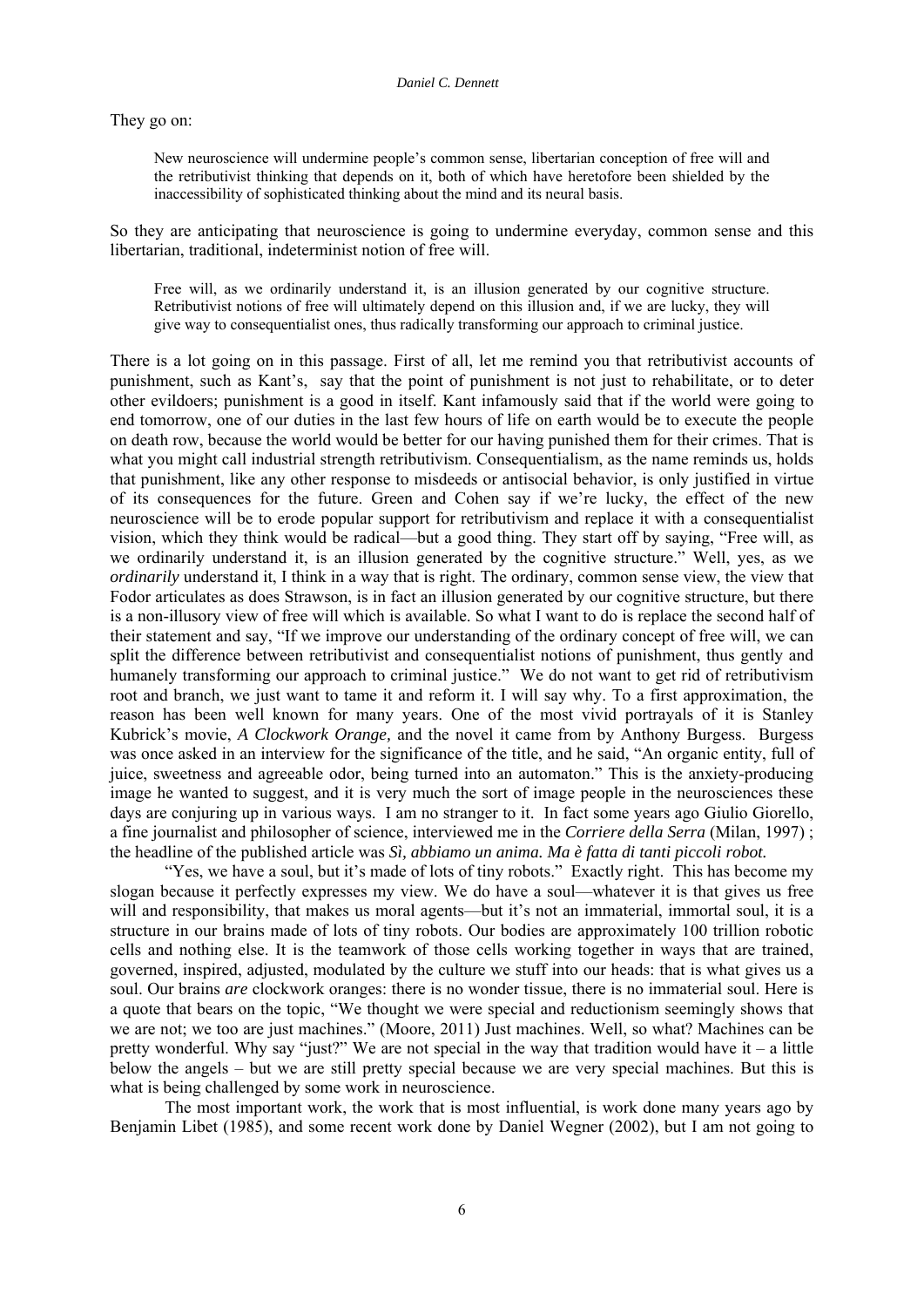They go on:

New neuroscience will undermine people's common sense, libertarian conception of free will and the retributivist thinking that depends on it, both of which have heretofore been shielded by the inaccessibility of sophisticated thinking about the mind and its neural basis.

So they are anticipating that neuroscience is going to undermine everyday, common sense and this libertarian, traditional, indeterminist notion of free will.

Free will, as we ordinarily understand it, is an illusion generated by our cognitive structure. Retributivist notions of free will ultimately depend on this illusion and, if we are lucky, they will give way to consequentialist ones, thus radically transforming our approach to criminal justice.

There is a lot going on in this passage. First of all, let me remind you that retributivist accounts of punishment, such as Kant's, say that the point of punishment is not just to rehabilitate, or to deter other evildoers; punishment is a good in itself. Kant infamously said that if the world were going to end tomorrow, one of our duties in the last few hours of life on earth would be to execute the people on death row, because the world would be better for our having punished them for their crimes. That is what you might call industrial strength retributivism. Consequentialism, as the name reminds us, holds that punishment, like any other response to misdeeds or antisocial behavior, is only justified in virtue of its consequences for the future. Green and Cohen say if we're lucky, the effect of the new neuroscience will be to erode popular support for retributivism and replace it with a consequentialist vision, which they think would be radical—but a good thing. They start off by saying, "Free will, as we ordinarily understand it, is an illusion generated by the cognitive structure." Well, yes, as we *ordinarily* understand it, I think in a way that is right. The ordinary, common sense view, the view that Fodor articulates as does Strawson, is in fact an illusion generated by our cognitive structure, but there is a non-illusory view of free will which is available. So what I want to do is replace the second half of their statement and say, "If we improve our understanding of the ordinary concept of free will, we can split the difference between retributivist and consequentialist notions of punishment, thus gently and humanely transforming our approach to criminal justice." We do not want to get rid of retributivism root and branch, we just want to tame it and reform it. I will say why. To a first approximation, the reason has been well known for many years. One of the most vivid portrayals of it is Stanley Kubrick's movie, *A Clockwork Orange,* and the novel it came from by Anthony Burgess. Burgess was once asked in an interview for the significance of the title, and he said, "An organic entity, full of juice, sweetness and agreeable odor, being turned into an automaton." This is the anxiety-producing image he wanted to suggest, and it is very much the sort of image people in the neurosciences these days are conjuring up in various ways. I am no stranger to it. In fact some years ago Giulio Giorello, a fine journalist and philosopher of science, interviewed me in the *Corriere della Serra* (Milan, 1997) ; the headline of the published article was *Sì, abbiamo un anima. Ma è fatta di tanti piccoli robot.*

"Yes, we have a soul, but it's made of lots of tiny robots." Exactly right. This has become my slogan because it perfectly expresses my view. We do have a soul—whatever it is that gives us free will and responsibility, that makes us moral agents—but it's not an immaterial, immortal soul, it is a structure in our brains made of lots of tiny robots. Our bodies are approximately 100 trillion robotic cells and nothing else. It is the teamwork of those cells working together in ways that are trained, governed, inspired, adjusted, modulated by the culture we stuff into our heads: that is what gives us a soul. Our brains *are* clockwork oranges: there is no wonder tissue, there is no immaterial soul. Here is a quote that bears on the topic, "We thought we were special and reductionism seemingly shows that we are not; we too are just machines." (Moore, 2011) Just machines. Well, so what? Machines can be pretty wonderful. Why say "just?" We are not special in the way that tradition would have it – a little below the angels – but we are still pretty special because we are very special machines. But this is what is being challenged by some work in neuroscience.

 The most important work, the work that is most influential, is work done many years ago by Benjamin Libet (1985), and some recent work done by Daniel Wegner (2002), but I am not going to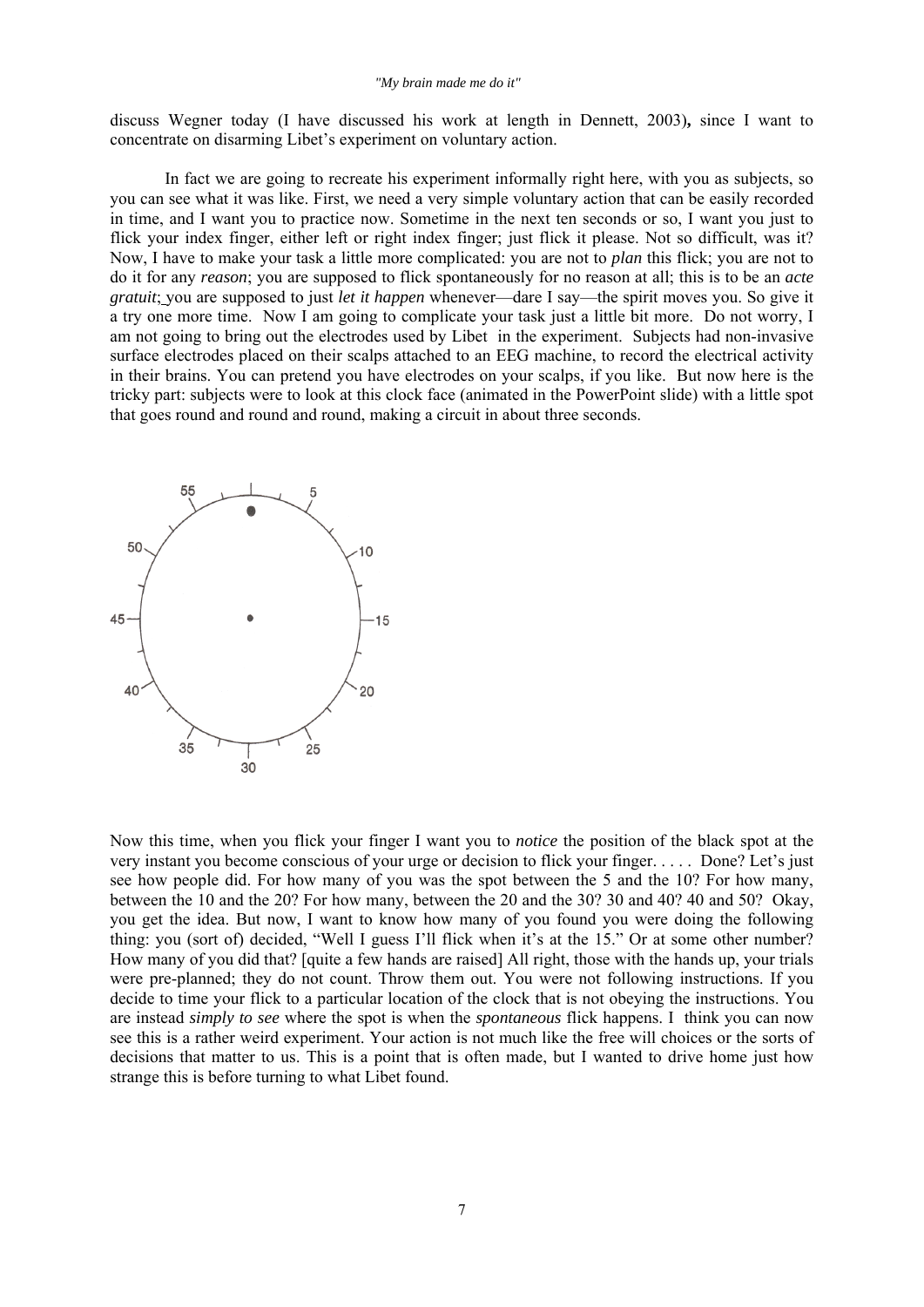discuss Wegner today (I have discussed his work at length in Dennett, 2003)**,** since I want to concentrate on disarming Libet's experiment on voluntary action.

 In fact we are going to recreate his experiment informally right here, with you as subjects, so you can see what it was like. First, we need a very simple voluntary action that can be easily recorded in time, and I want you to practice now. Sometime in the next ten seconds or so, I want you just to flick your index finger, either left or right index finger; just flick it please. Not so difficult, was it? Now, I have to make your task a little more complicated: you are not to *plan* this flick; you are not to do it for any *reason*; you are supposed to flick spontaneously for no reason at all; this is to be an *acte gratuit*; you are supposed to just *let it happen* whenever—dare I say—the spirit moves you. So give it a try one more time. Now I am going to complicate your task just a little bit more. Do not worry, I am not going to bring out the electrodes used by Libet in the experiment. Subjects had non-invasive surface electrodes placed on their scalps attached to an EEG machine, to record the electrical activity in their brains. You can pretend you have electrodes on your scalps, if you like. But now here is the tricky part: subjects were to look at this clock face (animated in the PowerPoint slide) with a little spot that goes round and round and round, making a circuit in about three seconds.



Now this time, when you flick your finger I want you to *notice* the position of the black spot at the very instant you become conscious of your urge or decision to flick your finger. . . . . Done? Let's just see how people did. For how many of you was the spot between the 5 and the 10? For how many, between the 10 and the 20? For how many, between the 20 and the 30? 30 and 40? 40 and 50? Okay, you get the idea. But now, I want to know how many of you found you were doing the following thing: you (sort of) decided, "Well I guess I'll flick when it's at the 15." Or at some other number? How many of you did that? [quite a few hands are raised] All right, those with the hands up, your trials were pre-planned; they do not count. Throw them out. You were not following instructions. If you decide to time your flick to a particular location of the clock that is not obeying the instructions. You are instead *simply to see* where the spot is when the *spontaneous* flick happens. I think you can now see this is a rather weird experiment. Your action is not much like the free will choices or the sorts of decisions that matter to us. This is a point that is often made, but I wanted to drive home just how strange this is before turning to what Libet found.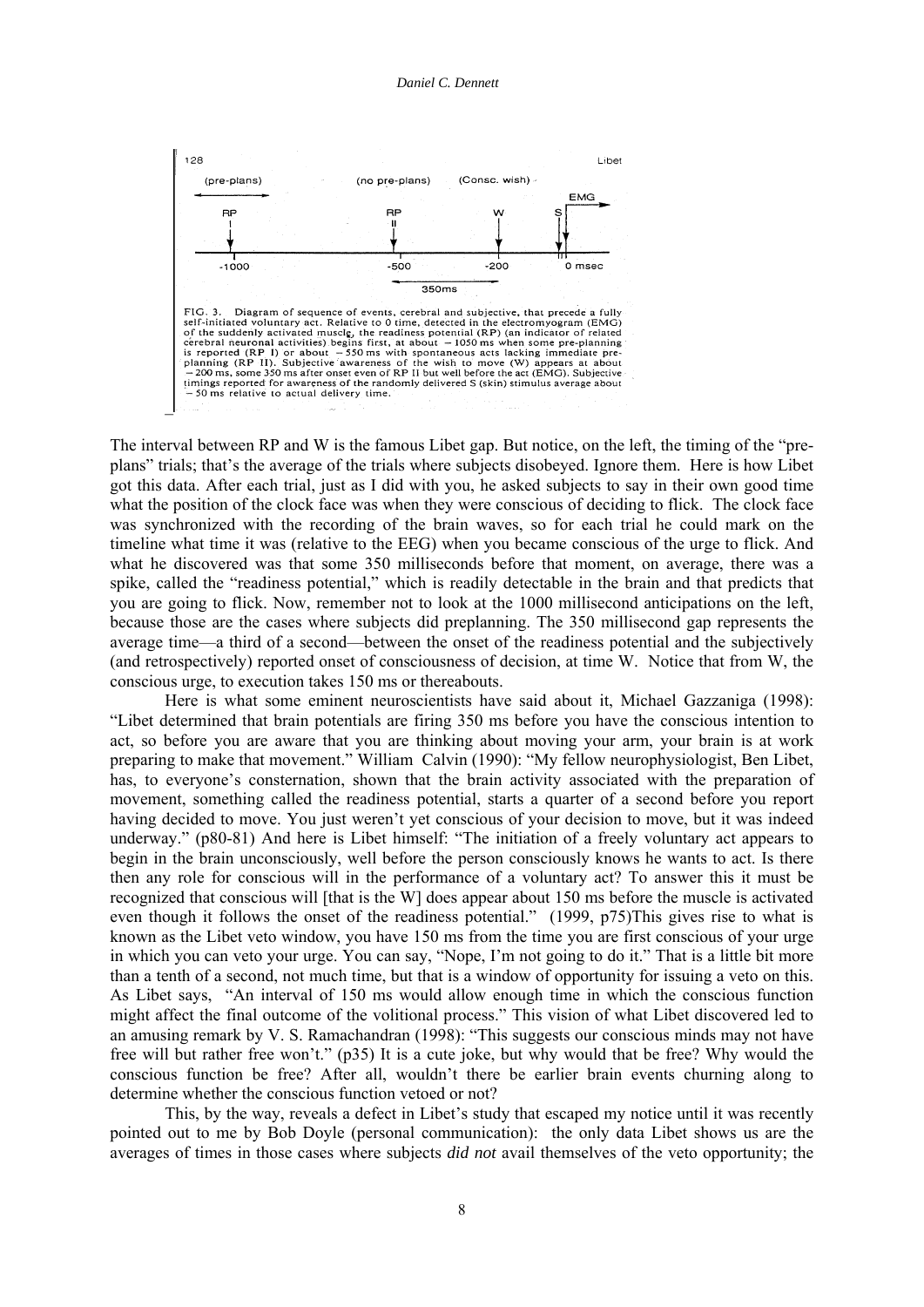

The interval between RP and W is the famous Libet gap. But notice, on the left, the timing of the "preplans" trials; that's the average of the trials where subjects disobeyed. Ignore them. Here is how Libet got this data. After each trial, just as I did with you, he asked subjects to say in their own good time what the position of the clock face was when they were conscious of deciding to flick. The clock face was synchronized with the recording of the brain waves, so for each trial he could mark on the timeline what time it was (relative to the EEG) when you became conscious of the urge to flick. And what he discovered was that some 350 milliseconds before that moment, on average, there was a spike, called the "readiness potential," which is readily detectable in the brain and that predicts that you are going to flick. Now, remember not to look at the 1000 millisecond anticipations on the left, because those are the cases where subjects did preplanning. The 350 millisecond gap represents the average time—a third of a second—between the onset of the readiness potential and the subjectively (and retrospectively) reported onset of consciousness of decision, at time W. Notice that from W, the conscious urge, to execution takes 150 ms or thereabouts.

 Here is what some eminent neuroscientists have said about it, Michael Gazzaniga (1998): "Libet determined that brain potentials are firing 350 ms before you have the conscious intention to act, so before you are aware that you are thinking about moving your arm, your brain is at work preparing to make that movement." William Calvin (1990): "My fellow neurophysiologist, Ben Libet, has, to everyone's consternation, shown that the brain activity associated with the preparation of movement, something called the readiness potential, starts a quarter of a second before you report having decided to move. You just weren't yet conscious of your decision to move, but it was indeed underway." (p80-81) And here is Libet himself: "The initiation of a freely voluntary act appears to begin in the brain unconsciously, well before the person consciously knows he wants to act. Is there then any role for conscious will in the performance of a voluntary act? To answer this it must be recognized that conscious will [that is the W] does appear about 150 ms before the muscle is activated even though it follows the onset of the readiness potential." (1999, p75)This gives rise to what is known as the Libet veto window, you have 150 ms from the time you are first conscious of your urge in which you can veto your urge. You can say, "Nope, I'm not going to do it." That is a little bit more than a tenth of a second, not much time, but that is a window of opportunity for issuing a veto on this. As Libet says, "An interval of 150 ms would allow enough time in which the conscious function might affect the final outcome of the volitional process." This vision of what Libet discovered led to an amusing remark by V. S. Ramachandran (1998): "This suggests our conscious minds may not have free will but rather free won't." (p35) It is a cute joke, but why would that be free? Why would the conscious function be free? After all, wouldn't there be earlier brain events churning along to determine whether the conscious function vetoed or not?

 This, by the way, reveals a defect in Libet's study that escaped my notice until it was recently pointed out to me by Bob Doyle (personal communication): the only data Libet shows us are the averages of times in those cases where subjects *did not* avail themselves of the veto opportunity; the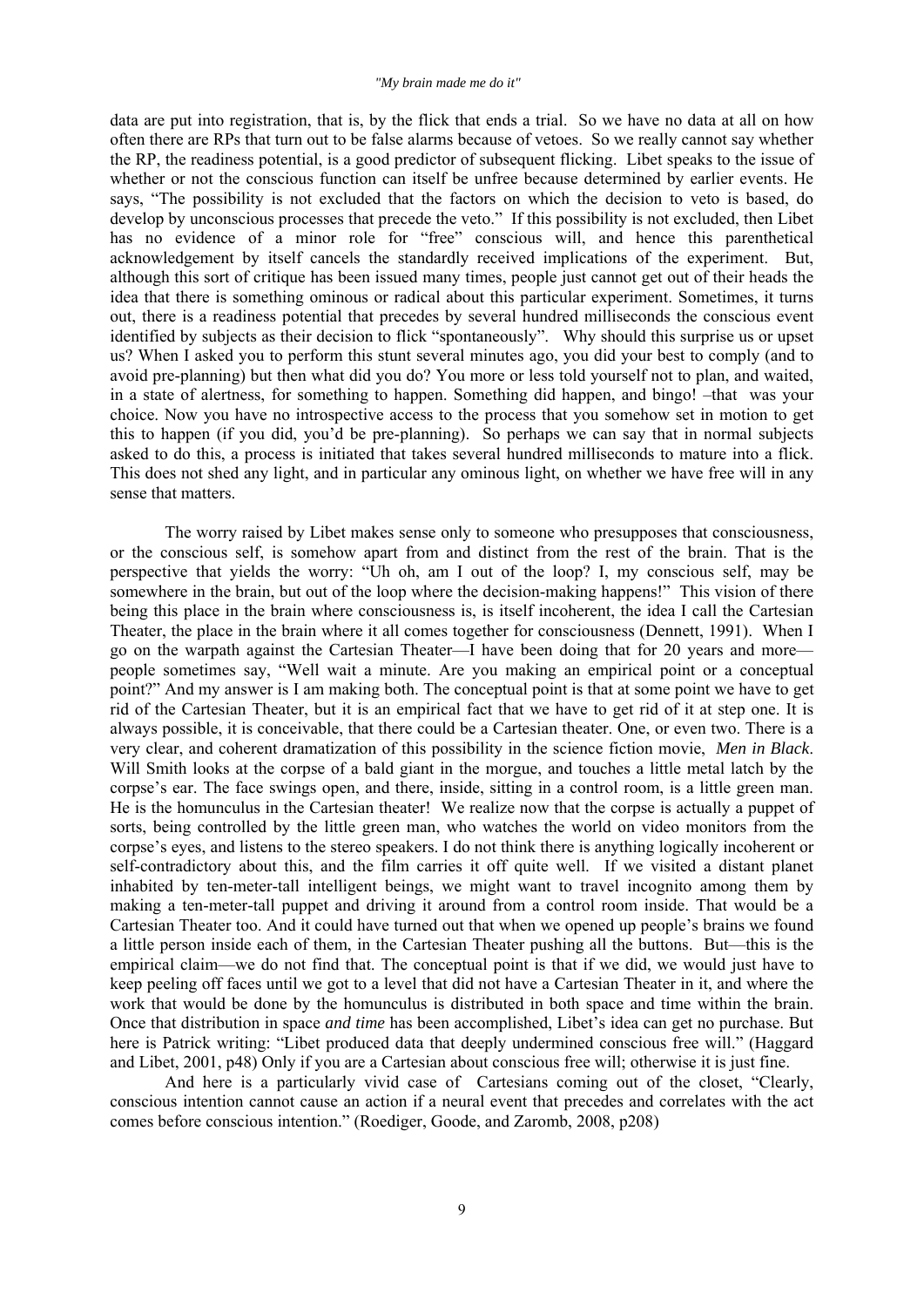data are put into registration, that is, by the flick that ends a trial. So we have no data at all on how often there are RPs that turn out to be false alarms because of vetoes. So we really cannot say whether the RP, the readiness potential, is a good predictor of subsequent flicking. Libet speaks to the issue of whether or not the conscious function can itself be unfree because determined by earlier events. He says, "The possibility is not excluded that the factors on which the decision to veto is based, do develop by unconscious processes that precede the veto." If this possibility is not excluded, then Libet has no evidence of a minor role for "free" conscious will, and hence this parenthetical acknowledgement by itself cancels the standardly received implications of the experiment. But, although this sort of critique has been issued many times, people just cannot get out of their heads the idea that there is something ominous or radical about this particular experiment. Sometimes, it turns out, there is a readiness potential that precedes by several hundred milliseconds the conscious event identified by subjects as their decision to flick "spontaneously". Why should this surprise us or upset us? When I asked you to perform this stunt several minutes ago, you did your best to comply (and to avoid pre-planning) but then what did you do? You more or less told yourself not to plan, and waited, in a state of alertness, for something to happen. Something did happen, and bingo! –that was your choice. Now you have no introspective access to the process that you somehow set in motion to get this to happen (if you did, you'd be pre-planning). So perhaps we can say that in normal subjects asked to do this, a process is initiated that takes several hundred milliseconds to mature into a flick. This does not shed any light, and in particular any ominous light, on whether we have free will in any sense that matters.

 The worry raised by Libet makes sense only to someone who presupposes that consciousness, or the conscious self, is somehow apart from and distinct from the rest of the brain. That is the perspective that yields the worry: "Uh oh, am I out of the loop? I, my conscious self, may be somewhere in the brain, but out of the loop where the decision-making happens!" This vision of there being this place in the brain where consciousness is, is itself incoherent, the idea I call the Cartesian Theater, the place in the brain where it all comes together for consciousness (Dennett, 1991). When I go on the warpath against the Cartesian Theater—I have been doing that for 20 years and more people sometimes say, "Well wait a minute. Are you making an empirical point or a conceptual point?" And my answer is I am making both. The conceptual point is that at some point we have to get rid of the Cartesian Theater, but it is an empirical fact that we have to get rid of it at step one. It is always possible, it is conceivable, that there could be a Cartesian theater. One, or even two. There is a very clear, and coherent dramatization of this possibility in the science fiction movie, *Men in Black*. Will Smith looks at the corpse of a bald giant in the morgue, and touches a little metal latch by the corpse's ear. The face swings open, and there, inside, sitting in a control room, is a little green man. He is the homunculus in the Cartesian theater! We realize now that the corpse is actually a puppet of sorts, being controlled by the little green man, who watches the world on video monitors from the corpse's eyes, and listens to the stereo speakers. I do not think there is anything logically incoherent or self-contradictory about this, and the film carries it off quite well. If we visited a distant planet inhabited by ten-meter-tall intelligent beings, we might want to travel incognito among them by making a ten-meter-tall puppet and driving it around from a control room inside. That would be a Cartesian Theater too. And it could have turned out that when we opened up people's brains we found a little person inside each of them, in the Cartesian Theater pushing all the buttons. But—this is the empirical claim—we do not find that. The conceptual point is that if we did, we would just have to keep peeling off faces until we got to a level that did not have a Cartesian Theater in it, and where the work that would be done by the homunculus is distributed in both space and time within the brain. Once that distribution in space *and time* has been accomplished, Libet's idea can get no purchase. But here is Patrick writing: "Libet produced data that deeply undermined conscious free will." (Haggard and Libet, 2001, p48) Only if you are a Cartesian about conscious free will; otherwise it is just fine.

 And here is a particularly vivid case of Cartesians coming out of the closet, "Clearly, conscious intention cannot cause an action if a neural event that precedes and correlates with the act comes before conscious intention." (Roediger, Goode, and Zaromb, 2008, p208)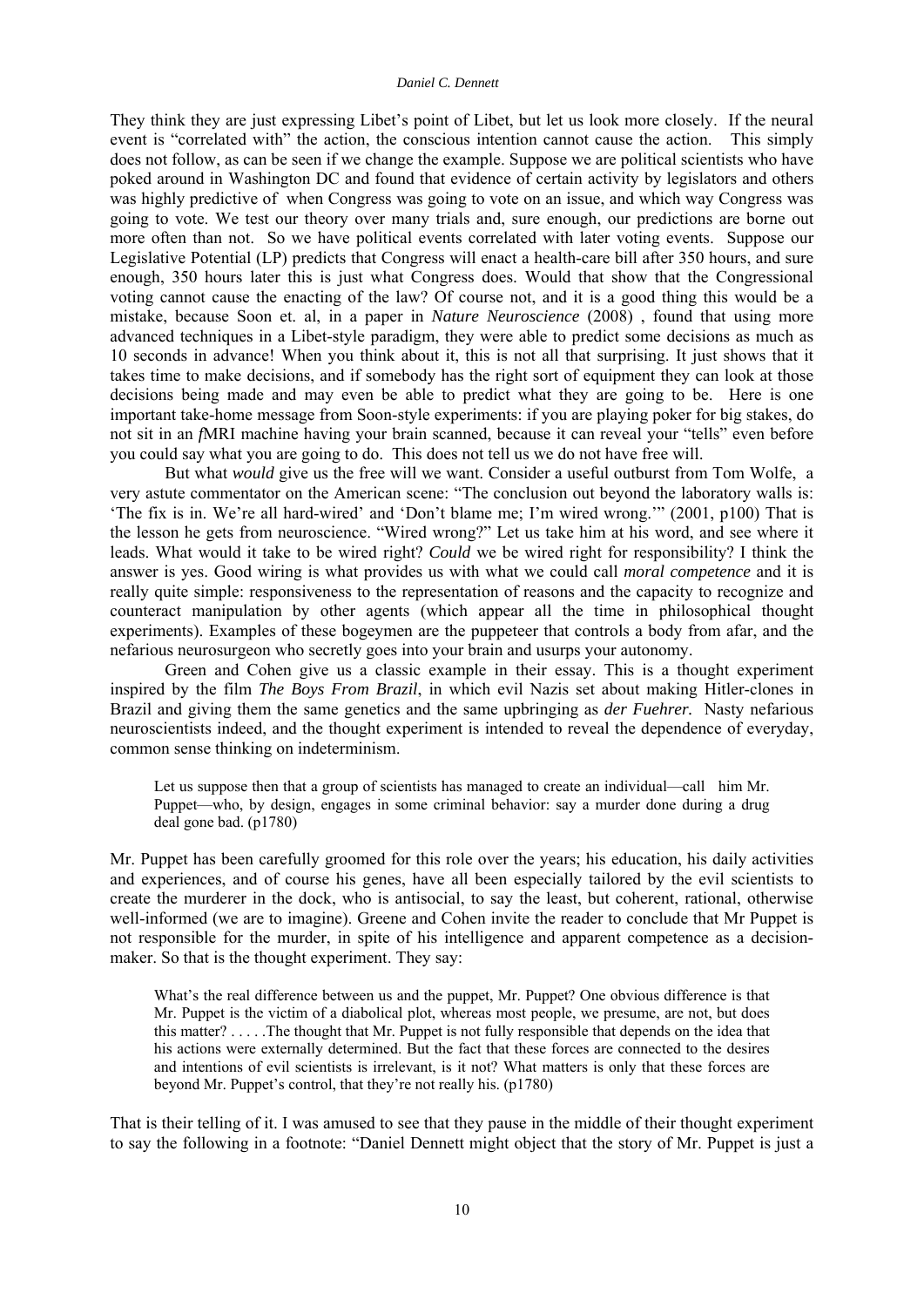They think they are just expressing Libet's point of Libet, but let us look more closely. If the neural event is "correlated with" the action, the conscious intention cannot cause the action. This simply does not follow, as can be seen if we change the example. Suppose we are political scientists who have poked around in Washington DC and found that evidence of certain activity by legislators and others was highly predictive of when Congress was going to vote on an issue, and which way Congress was going to vote. We test our theory over many trials and, sure enough, our predictions are borne out more often than not. So we have political events correlated with later voting events. Suppose our Legislative Potential (LP) predicts that Congress will enact a health-care bill after 350 hours, and sure enough, 350 hours later this is just what Congress does. Would that show that the Congressional voting cannot cause the enacting of the law? Of course not, and it is a good thing this would be a mistake, because Soon et. al, in a paper in *Nature Neuroscience* (2008) , found that using more advanced techniques in a Libet-style paradigm, they were able to predict some decisions as much as 10 seconds in advance! When you think about it, this is not all that surprising. It just shows that it takes time to make decisions, and if somebody has the right sort of equipment they can look at those decisions being made and may even be able to predict what they are going to be. Here is one important take-home message from Soon-style experiments: if you are playing poker for big stakes, do not sit in an *f*MRI machine having your brain scanned, because it can reveal your "tells" even before you could say what you are going to do. This does not tell us we do not have free will.

 But what *would* give us the free will we want. Consider a useful outburst from Tom Wolfe, a very astute commentator on the American scene: "The conclusion out beyond the laboratory walls is: 'The fix is in. We're all hard-wired' and 'Don't blame me; I'm wired wrong.'" (2001, p100) That is the lesson he gets from neuroscience. "Wired wrong?" Let us take him at his word, and see where it leads. What would it take to be wired right? *Could* we be wired right for responsibility? I think the answer is yes. Good wiring is what provides us with what we could call *moral competence* and it is really quite simple: responsiveness to the representation of reasons and the capacity to recognize and counteract manipulation by other agents (which appear all the time in philosophical thought experiments). Examples of these bogeymen are the puppeteer that controls a body from afar, and the nefarious neurosurgeon who secretly goes into your brain and usurps your autonomy.

 Green and Cohen give us a classic example in their essay. This is a thought experiment inspired by the film *The Boys From Brazil*, in which evil Nazis set about making Hitler-clones in Brazil and giving them the same genetics and the same upbringing as *der Fuehrer.* Nasty nefarious neuroscientists indeed, and the thought experiment is intended to reveal the dependence of everyday, common sense thinking on indeterminism.

Let us suppose then that a group of scientists has managed to create an individual—call him Mr. Puppet—who, by design, engages in some criminal behavior: say a murder done during a drug deal gone bad. (p1780)

Mr. Puppet has been carefully groomed for this role over the years; his education, his daily activities and experiences, and of course his genes, have all been especially tailored by the evil scientists to create the murderer in the dock, who is antisocial, to say the least, but coherent, rational, otherwise well-informed (we are to imagine). Greene and Cohen invite the reader to conclude that Mr Puppet is not responsible for the murder, in spite of his intelligence and apparent competence as a decisionmaker. So that is the thought experiment. They say:

What's the real difference between us and the puppet, Mr. Puppet? One obvious difference is that Mr. Puppet is the victim of a diabolical plot, whereas most people, we presume, are not, but does this matter? . . . . .The thought that Mr. Puppet is not fully responsible that depends on the idea that his actions were externally determined. But the fact that these forces are connected to the desires and intentions of evil scientists is irrelevant, is it not? What matters is only that these forces are beyond Mr. Puppet's control, that they're not really his. (p1780)

That is their telling of it. I was amused to see that they pause in the middle of their thought experiment to say the following in a footnote: "Daniel Dennett might object that the story of Mr. Puppet is just a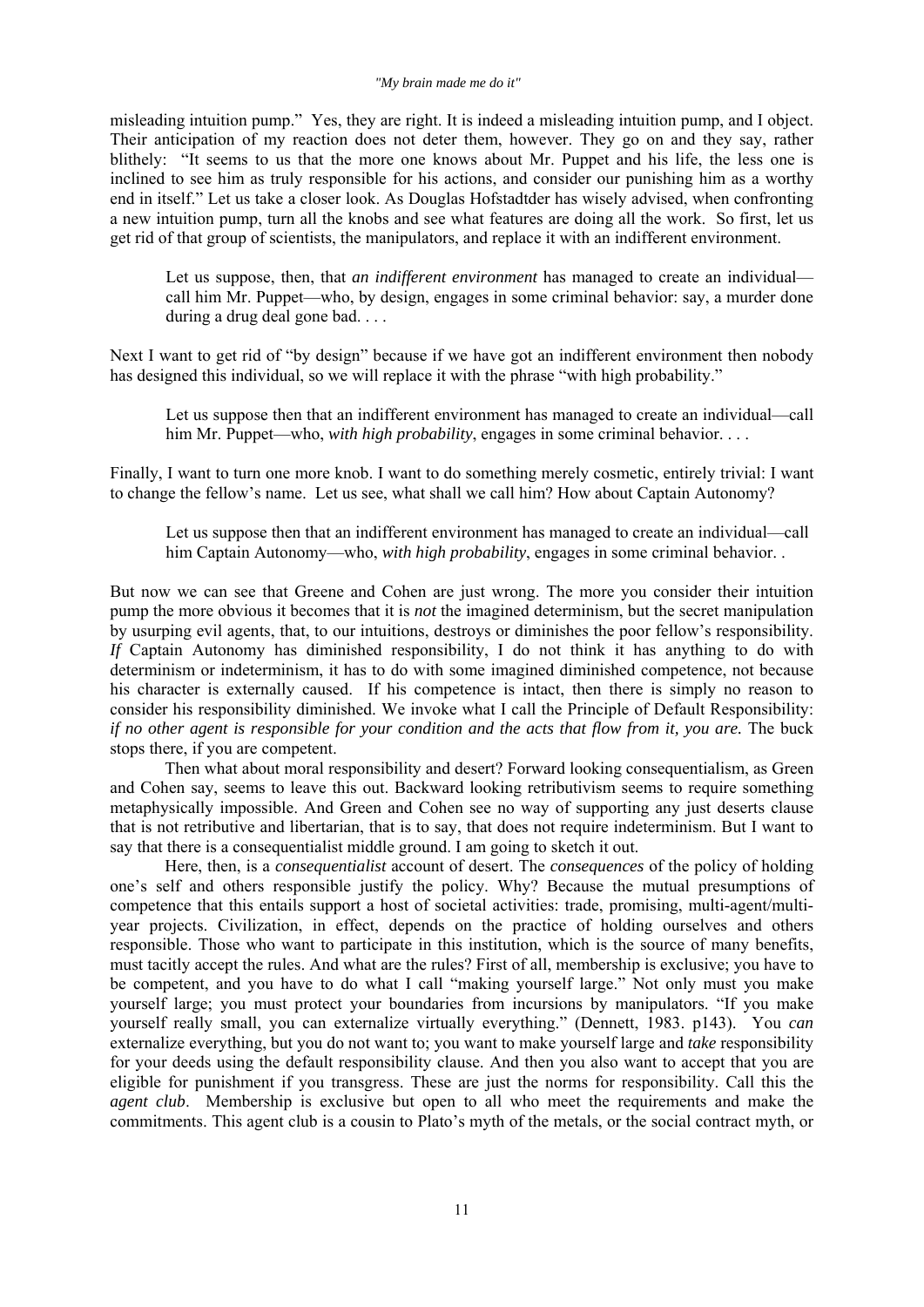### *"My brain made me do it"*

misleading intuition pump." Yes, they are right. It is indeed a misleading intuition pump, and I object. Their anticipation of my reaction does not deter them, however. They go on and they say, rather blithely: "It seems to us that the more one knows about Mr. Puppet and his life, the less one is inclined to see him as truly responsible for his actions, and consider our punishing him as a worthy end in itself." Let us take a closer look. As Douglas Hofstadtder has wisely advised, when confronting a new intuition pump, turn all the knobs and see what features are doing all the work. So first, let us get rid of that group of scientists, the manipulators, and replace it with an indifferent environment.

Let us suppose, then, that *an indifferent environment* has managed to create an individual call him Mr. Puppet—who, by design, engages in some criminal behavior: say, a murder done during a drug deal gone bad. . . .

Next I want to get rid of "by design" because if we have got an indifferent environment then nobody has designed this individual, so we will replace it with the phrase "with high probability."

Let us suppose then that an indifferent environment has managed to create an individual—call him Mr. Puppet—who, *with high probability*, engages in some criminal behavior. . . .

Finally, I want to turn one more knob. I want to do something merely cosmetic, entirely trivial: I want to change the fellow's name. Let us see, what shall we call him? How about Captain Autonomy?

Let us suppose then that an indifferent environment has managed to create an individual—call him Captain Autonomy—who, *with high probability*, engages in some criminal behavior. .

But now we can see that Greene and Cohen are just wrong. The more you consider their intuition pump the more obvious it becomes that it is *not* the imagined determinism, but the secret manipulation by usurping evil agents, that, to our intuitions, destroys or diminishes the poor fellow's responsibility. *If* Captain Autonomy has diminished responsibility, I do not think it has anything to do with determinism or indeterminism, it has to do with some imagined diminished competence, not because his character is externally caused. If his competence is intact, then there is simply no reason to consider his responsibility diminished. We invoke what I call the Principle of Default Responsibility: *if no other agent is responsible for your condition and the acts that flow from it, you are.* The buck stops there, if you are competent.

 Then what about moral responsibility and desert? Forward looking consequentialism, as Green and Cohen say, seems to leave this out. Backward looking retributivism seems to require something metaphysically impossible. And Green and Cohen see no way of supporting any just deserts clause that is not retributive and libertarian, that is to say, that does not require indeterminism. But I want to say that there is a consequentialist middle ground. I am going to sketch it out.

 Here, then, is a *consequentialist* account of desert. The *consequences* of the policy of holding one's self and others responsible justify the policy. Why? Because the mutual presumptions of competence that this entails support a host of societal activities: trade, promising, multi-agent/multiyear projects. Civilization, in effect, depends on the practice of holding ourselves and others responsible. Those who want to participate in this institution, which is the source of many benefits, must tacitly accept the rules. And what are the rules? First of all, membership is exclusive; you have to be competent, and you have to do what I call "making yourself large." Not only must you make yourself large; you must protect your boundaries from incursions by manipulators. "If you make yourself really small, you can externalize virtually everything." (Dennett, 1983. p143). You *can* externalize everything, but you do not want to; you want to make yourself large and *take* responsibility for your deeds using the default responsibility clause. And then you also want to accept that you are eligible for punishment if you transgress. These are just the norms for responsibility. Call this the *agent club*. Membership is exclusive but open to all who meet the requirements and make the commitments. This agent club is a cousin to Plato's myth of the metals, or the social contract myth, or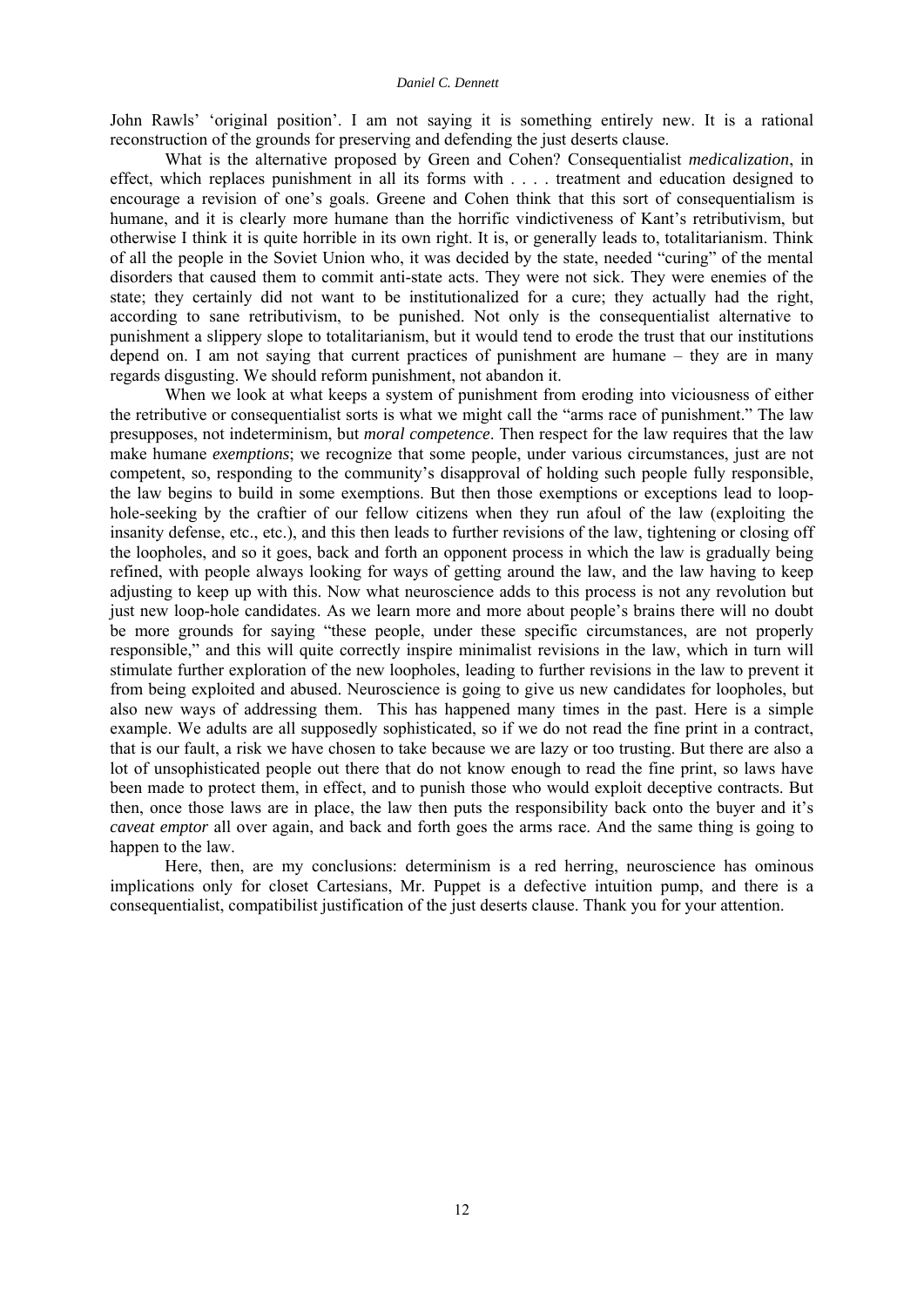John Rawls' 'original position'. I am not saying it is something entirely new. It is a rational reconstruction of the grounds for preserving and defending the just deserts clause.

 What is the alternative proposed by Green and Cohen? Consequentialist *medicalization*, in effect, which replaces punishment in all its forms with . . . . treatment and education designed to encourage a revision of one's goals. Greene and Cohen think that this sort of consequentialism is humane, and it is clearly more humane than the horrific vindictiveness of Kant's retributivism, but otherwise I think it is quite horrible in its own right. It is, or generally leads to, totalitarianism. Think of all the people in the Soviet Union who, it was decided by the state, needed "curing" of the mental disorders that caused them to commit anti-state acts. They were not sick. They were enemies of the state; they certainly did not want to be institutionalized for a cure; they actually had the right, according to sane retributivism, to be punished. Not only is the consequentialist alternative to punishment a slippery slope to totalitarianism, but it would tend to erode the trust that our institutions depend on. I am not saying that current practices of punishment are humane – they are in many regards disgusting. We should reform punishment, not abandon it.

 When we look at what keeps a system of punishment from eroding into viciousness of either the retributive or consequentialist sorts is what we might call the "arms race of punishment." The law presupposes, not indeterminism, but *moral competence*. Then respect for the law requires that the law make humane *exemptions*; we recognize that some people, under various circumstances, just are not competent, so, responding to the community's disapproval of holding such people fully responsible, the law begins to build in some exemptions. But then those exemptions or exceptions lead to loophole-seeking by the craftier of our fellow citizens when they run afoul of the law (exploiting the insanity defense, etc., etc.), and this then leads to further revisions of the law, tightening or closing off the loopholes, and so it goes, back and forth an opponent process in which the law is gradually being refined, with people always looking for ways of getting around the law, and the law having to keep adjusting to keep up with this. Now what neuroscience adds to this process is not any revolution but just new loop-hole candidates. As we learn more and more about people's brains there will no doubt be more grounds for saying "these people, under these specific circumstances, are not properly responsible," and this will quite correctly inspire minimalist revisions in the law, which in turn will stimulate further exploration of the new loopholes, leading to further revisions in the law to prevent it from being exploited and abused. Neuroscience is going to give us new candidates for loopholes, but also new ways of addressing them. This has happened many times in the past. Here is a simple example. We adults are all supposedly sophisticated, so if we do not read the fine print in a contract, that is our fault, a risk we have chosen to take because we are lazy or too trusting. But there are also a lot of unsophisticated people out there that do not know enough to read the fine print, so laws have been made to protect them, in effect, and to punish those who would exploit deceptive contracts. But then, once those laws are in place, the law then puts the responsibility back onto the buyer and it's *caveat emptor* all over again, and back and forth goes the arms race. And the same thing is going to happen to the law.

 Here, then, are my conclusions: determinism is a red herring, neuroscience has ominous implications only for closet Cartesians, Mr. Puppet is a defective intuition pump, and there is a consequentialist, compatibilist justification of the just deserts clause. Thank you for your attention.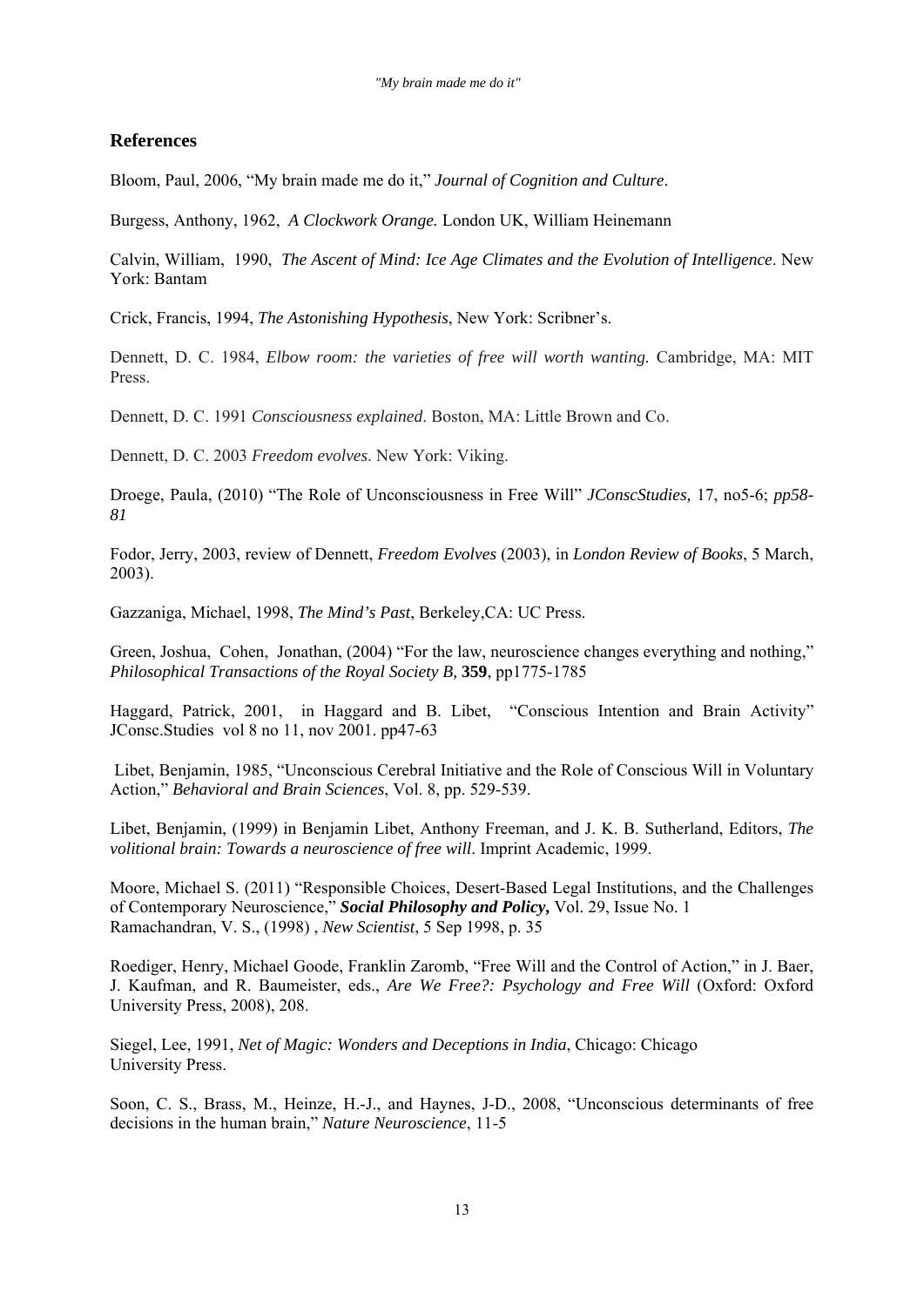## **References**

Bloom, Paul, 2006, "My brain made me do it," *Journal of Cognition and Culture*.

Burgess, Anthony, 1962, *A Clockwork Orange.* London UK, William Heinemann

Calvin, William, 1990, *The Ascent of Mind: Ice Age Climates and the Evolution of Intelligence*. New York: Bantam

Crick, Francis, 1994, *The Astonishing Hypothesis*, New York: Scribner's.

Dennett, D. C. 1984, *Elbow room: the varieties of free will worth wanting.* Cambridge, MA: MIT Press.

Dennett, D. C. 1991 *Consciousness explained*. Boston, MA: Little Brown and Co.

Dennett, D. C. 2003 *Freedom evolves*. New York: Viking.

Droege, Paula, (2010) "The Role of Unconsciousness in Free Will" *JConscStudies,* 17, no5-6; *pp58- 81*

Fodor, Jerry, 2003, review of Dennett, *Freedom Evolves* (2003), in *London Review of Books*, 5 March, 2003).

Gazzaniga, Michael, 1998, *The Mind's Past*, Berkeley,CA: UC Press.

Green, Joshua, Cohen, Jonathan, (2004) "For the law, neuroscience changes everything and nothing," *Philosophical Transactions of the Royal Society B,* **359**, pp1775-1785

Haggard, Patrick, 2001, in Haggard and B. Libet, "Conscious Intention and Brain Activity" JConsc.Studies vol 8 no 11, nov 2001. pp47-63

 Libet, Benjamin, 1985, "Unconscious Cerebral Initiative and the Role of Conscious Will in Voluntary Action," *Behavioral and Brain Sciences*, Vol. 8, pp. 529-539.

Libet, Benjamin, (1999) in Benjamin Libet, Anthony Freeman, and J. K. B. Sutherland, Editors, *The volitional brain: Towards a neuroscience of free will*. Imprint Academic, 1999.

Moore, Michael S. (2011) "Responsible Choices, Desert-Based Legal Institutions, and the Challenges of Contemporary Neuroscience," *Social Philosophy and Policy***,** Vol. 29, Issue No. 1 Ramachandran, V. S., (1998) , *New Scientist*, 5 Sep 1998, p. 35

Roediger, Henry, Michael Goode, Franklin Zaromb, "Free Will and the Control of Action," in J. Baer, J. Kaufman, and R. Baumeister, eds., *Are We Free?: Psychology and Free Will* (Oxford: Oxford University Press, 2008), 208.

Siegel, Lee, 1991, *Net of Magic: Wonders and Deceptions in India*, Chicago: Chicago University Press.

Soon, C. S., Brass, M., Heinze, H.-J., and Haynes, J-D., 2008, "Unconscious determinants of free decisions in the human brain," *Nature Neuroscience*, 11-5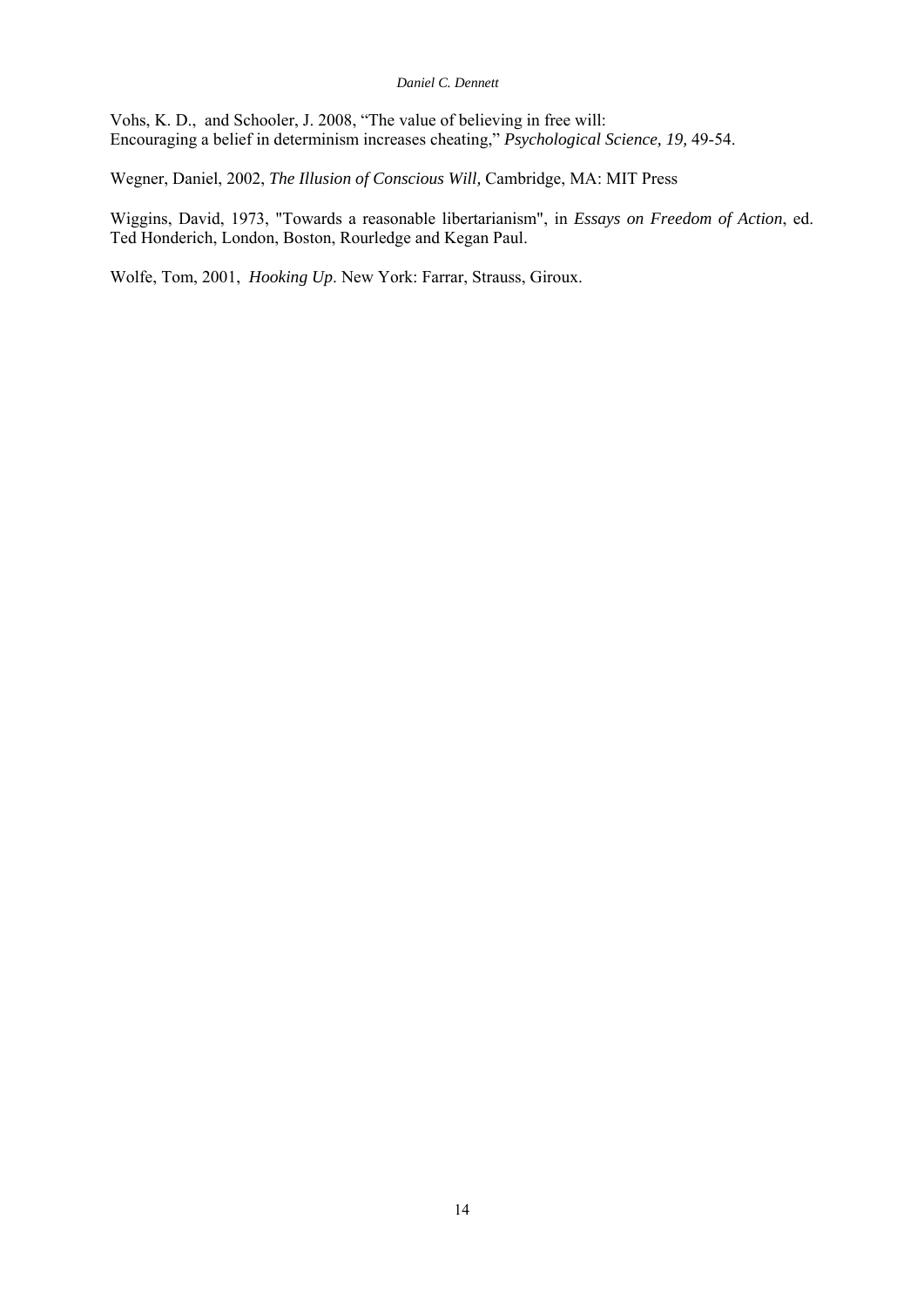Vohs, K. D., and Schooler, J. 2008, "The value of believing in free will: Encouraging a belief in determinism increases cheating," *Psychological Science, 19,* 49-54.

Wegner, Daniel, 2002, *The Illusion of Conscious Will,* Cambridge, MA: MIT Press

Wiggins, David, 1973, "Towards a reasonable libertarianism", in *Essays on Freedom of Action*, ed. Ted Honderich, London, Boston, Rourledge and Kegan Paul.

Wolfe, Tom, 2001, *Hooking Up*. New York: Farrar, Strauss, Giroux.